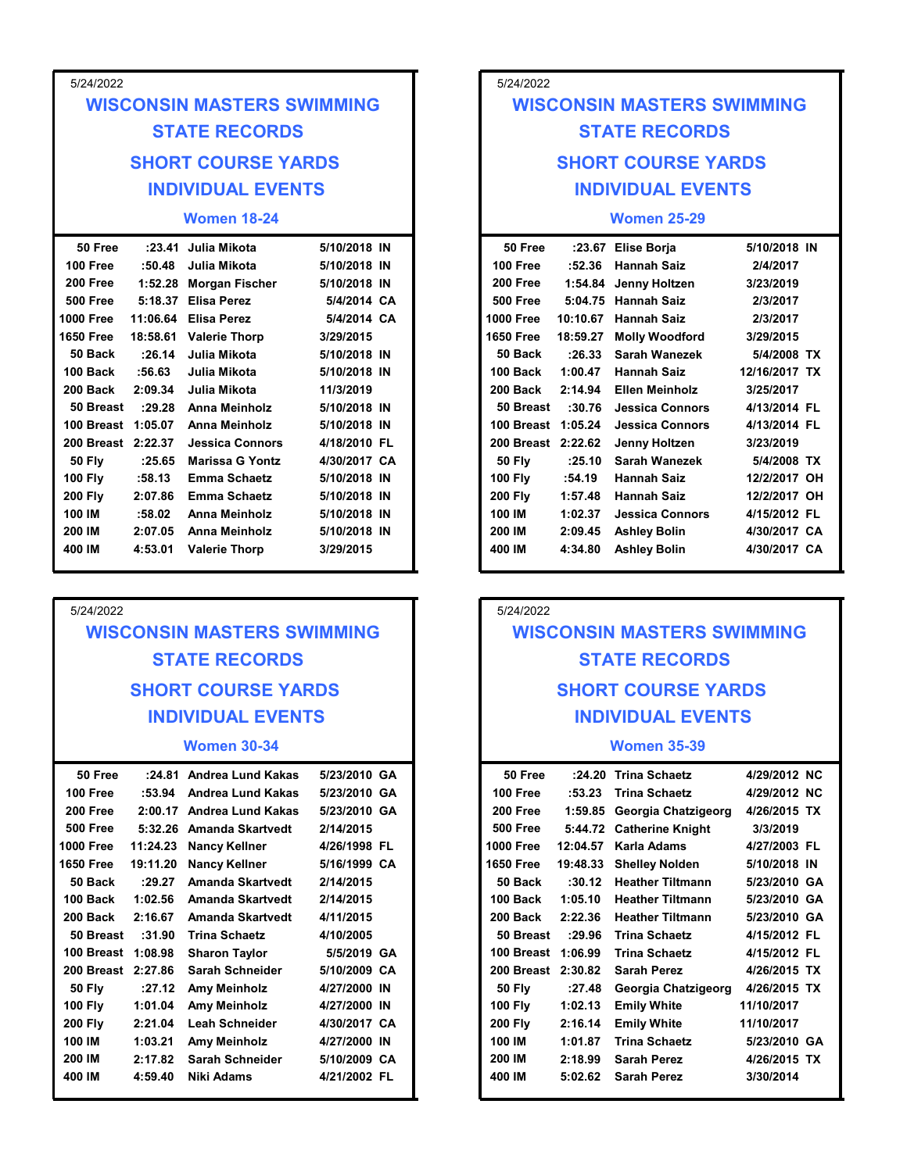| 5/24/2022                   |        |                                               |                                   |  |
|-----------------------------|--------|-----------------------------------------------|-----------------------------------|--|
|                             |        |                                               | <b>WISCONSIN MASTERS SWIMMING</b> |  |
|                             |        | <b>STATE RECORDS</b>                          |                                   |  |
|                             |        | <b>SHORT COURSE YARDS</b>                     |                                   |  |
|                             |        | <b>INDIVIDUAL EVENTS</b>                      |                                   |  |
|                             |        | <b>Women 18-24</b>                            |                                   |  |
| 50 Free                     |        | :23.41 Julia Mikota                           | 5/10/2018 IN                      |  |
| 100 Free                    | :50.48 | Julia Mikota                                  | 5/10/2018 IN                      |  |
| 200 Free<br><b>500 Free</b> |        | 1:52.28 Morgan Fischer<br>5:18.37 Elisa Perez | 5/10/2018 IN<br>5/4/2014 CA       |  |
| 000 Free                    |        | 11:06.64 Elisa Perez                          | 5/4/2014 CA                       |  |
| 650 Free                    |        | 18:58.61 Valerie Thorp                        | 3/29/2015                         |  |

| 100 Free           | :50.48   | Julia Mikota           | 5/10/2018 IN |  | 100 Free           | :52.36   | <b>Hannah Saiz</b>     |
|--------------------|----------|------------------------|--------------|--|--------------------|----------|------------------------|
| 200 Free           |          | 1:52.28 Morgan Fischer | 5/10/2018 IN |  | 200 Free           |          | 1:54.84 Jenny Holtzen  |
| <b>500 Free</b>    | 5:18.37  | Elisa Perez            | 5/4/2014 CA  |  | <b>500 Free</b>    |          | 5:04.75 Hannah Saiz    |
| <b>1000 Free</b>   | 11:06.64 | Elisa Perez            | 5/4/2014 CA  |  | <b>1000 Free</b>   | 10:10.67 | Hannah Saiz            |
| 1650 Free          | 18:58.61 | <b>Valerie Thorp</b>   | 3/29/2015    |  | <b>1650 Free</b>   | 18:59.27 | <b>Molly Woodford</b>  |
| 50 Back            | :26.14   | Julia Mikota           | 5/10/2018 IN |  | 50 Back            | :26.33   | <b>Sarah Wanezek</b>   |
| 100 Back           | :56.63   | Julia Mikota           | 5/10/2018 IN |  | 100 Back           | 1:00.47  | <b>Hannah Saiz</b>     |
| 200 Back           | 2:09.34  | Julia Mikota           | 11/3/2019    |  | 200 Back           | 2:14.94  | <b>Ellen Meinholz</b>  |
| 50 Breast          | :29.28   | Anna Meinholz          | 5/10/2018 IN |  | 50 Breast          | :30.76   | <b>Jessica Connors</b> |
| 100 Breast 1:05.07 |          | Anna Meinholz          | 5/10/2018 IN |  | 100 Breast 1:05.24 |          | Jessica Connors        |
| 200 Breast 2:22.37 |          | <b>Jessica Connors</b> | 4/18/2010 FL |  | 200 Breast 2:22.62 |          | Jenny Holtzen          |
| <b>50 Fly</b>      | :25.65   | <b>Marissa G Yontz</b> | 4/30/2017 CA |  | <b>50 Flv</b>      | :25.10   | Sarah Wanezek          |
| <b>100 Fly</b>     | :58.13   | <b>Emma Schaetz</b>    | 5/10/2018 IN |  | <b>100 Fly</b>     | :54.19   | Hannah Saiz            |
| <b>200 Fly</b>     | 2:07.86  | <b>Emma Schaetz</b>    | 5/10/2018 IN |  | <b>200 Fly</b>     | 1:57.48  | <b>Hannah Saiz</b>     |
| 100 IM             | :58.02   | Anna Meinholz          | 5/10/2018 IN |  | 100 IM             | 1:02.37  | <b>Jessica Connors</b> |
| 200 IM             | 2:07.05  | Anna Meinholz          | 5/10/2018 IN |  | 200 IM             | 2:09.45  | <b>Ashley Bolin</b>    |
| 400 IM             | 4:53.01  | <b>Valerie Thorp</b>   | 3/29/2015    |  | 400 IM             | 4:34.80  | <b>Ashley Bolin</b>    |

## WISCONSIN MASTERS SWIMMING STATE RECORDS SHORT COURSE YARDS INDIVIDUAL EVENTS

#### Women 30-34

| 50 Free            | :24.81   | Andrea Lund Kakas    | 5/23/2010 GA | 50 Free            | :24.20   | <b>Trina Schaetz</b>     |
|--------------------|----------|----------------------|--------------|--------------------|----------|--------------------------|
| 100 Free           | :53.94   | Andrea Lund Kakas    | 5/23/2010 GA | 100 Free           | :53.23   | <b>Trina Schaetz</b>     |
| 200 Free           | 2:00.17  | Andrea Lund Kakas    | 5/23/2010 GA | 200 Free           | 1:59.85  | Georgia Chatzigeorg      |
| <b>500 Free</b>    | 5:32.26  | Amanda Skartvedt     | 2/14/2015    | <b>500 Free</b>    |          | 5:44.72 Catherine Knight |
| <b>1000 Free</b>   | 11:24.23 | <b>Nancy Kellner</b> | 4/26/1998 FL | <b>1000 Free</b>   | 12:04.57 | Karla Adams              |
| <b>1650 Free</b>   | 19:11.20 | <b>Nancy Kellner</b> | 5/16/1999 CA | <b>1650 Free</b>   | 19:48.33 | <b>Shelley Nolden</b>    |
| 50 Back            | :29.27   | Amanda Skartvedt     | 2/14/2015    | 50 Back            | :30.12   | <b>Heather Tiltmann</b>  |
| 100 Back           | 1:02.56  | Amanda Skartvedt     | 2/14/2015    | 100 Back           | 1:05.10  | <b>Heather Tiltmann</b>  |
| 200 Back           | 2:16.67  | Amanda Skartvedt     | 4/11/2015    | 200 Back           | 2:22.36  | <b>Heather Tiltmann</b>  |
| 50 Breast          | :31.90   | <b>Trina Schaetz</b> | 4/10/2005    | 50 Breast          | :29.96   | <b>Trina Schaetz</b>     |
| 100 Breast 1:08.98 |          | <b>Sharon Taylor</b> | 5/5/2019 GA  | 100 Breast         | 1:06.99  | <b>Trina Schaetz</b>     |
| 200 Breast 2:27.86 |          | Sarah Schneider      | 5/10/2009 CA | 200 Breast 2:30.82 |          | <b>Sarah Perez</b>       |
| <b>50 Fly</b>      | :27.12   | Amy Meinholz         | 4/27/2000 IN | <b>50 Fly</b>      | :27.48   | Georgia Chatzigeorg      |
| <b>100 Fly</b>     | 1:01.04  | Amy Meinholz         | 4/27/2000 IN | <b>100 Fly</b>     | 1:02.13  | <b>Emily White</b>       |
| <b>200 Fly</b>     | 2:21.04  | Leah Schneider       | 4/30/2017 CA | <b>200 Fly</b>     | 2:16.14  | <b>Emily White</b>       |
| 100 IM             | 1:03.21  | Amy Meinholz         | 4/27/2000 IN | 100 IM             | 1:01.87  | <b>Trina Schaetz</b>     |
| 200 IM             | 2:17.82  | Sarah Schneider      | 5/10/2009 CA | 200 IM             | 2:18.99  | <b>Sarah Perez</b>       |
| 400 IM             | 4:59.40  | Niki Adams           | 4/21/2002 FL | 400 IM             | 5:02.62  | <b>Sarah Perez</b>       |
|                    |          |                      |              |                    |          |                          |

# SHORT COURSE YARDS SHORT COURSE YARDS INDIVIDUAL EVENTS INDIVIDUAL EVENTS 5/24/2022 MASTERS SWIMMING<br>
TE RECORDS<br>
COURSE YARDS<br>
VIDUAL EVENTS<br>
Vomen 25-29<br>
Elise Borja 5/10/2018 IN<br>
Hannah Saiz 2/4/2017<br>
Jenny Holtzen 3/23/2019<br>
Hannah Saiz 2/3/2017<br>
Hannah Saiz 2/3/2017<br>
Hannah Saiz 2/3/2017<br>
Molly Woodf WISCONSIN MASTERS SWIMMING STATE RECORDS

#### Women 25-29

| 5/10/2018 IN<br>Julia Mikota<br>100 Free<br>:52.36<br><b>Hannah Saiz</b>                                                                                                                                                                                                                                                                                                                                                                                                                                                                                                   |
|----------------------------------------------------------------------------------------------------------------------------------------------------------------------------------------------------------------------------------------------------------------------------------------------------------------------------------------------------------------------------------------------------------------------------------------------------------------------------------------------------------------------------------------------------------------------------|
| 2/4/2017<br>200 Free<br>3/23/2019<br>Morgan Fischer<br>5/10/2018 IN<br>1:54.84<br>Jenny Holtzen<br><b>500 Free</b><br>2/3/2017<br>Elisa Perez<br>5/4/2014 CA<br>5:04.75 Hannah Saiz<br>5/4/2014 CA<br><b>1000 Free</b><br>2/3/2017<br>Elisa Perez<br>10:10.67<br>Hannah Saiz<br>3/29/2015<br>3/29/2015<br><b>Valerie Thorp</b><br><b>1650 Free</b><br>18:59.27<br><b>Molly Woodford</b><br>5/10/2018 IN<br>50 Back<br>:26.33<br>Sarah Wanezek<br>5/4/2008 TX<br>Julia Mikota<br>100 Back<br>12/16/2017 TX<br>Julia Mikota<br>5/10/2018 IN<br>1:00.47<br><b>Hannah Saiz</b> |
| 11/3/2019<br>200 Back<br>3/25/2017<br>2:14.94<br><b>Ellen Meinholz</b><br>Julia Mikota<br>5/10/2018 IN<br>4/13/2014 FL<br>50 Breast<br>:30.76<br><b>Jessica Connors</b><br>Anna Meinholz<br>5/10/2018 IN<br>100 Breast 1:05.24<br><b>Jessica Connors</b><br>4/13/2014 FL<br>Anna Meinholz<br>200 Breast 2:22.62<br>4/18/2010 FL<br>Jenny Holtzen<br>3/23/2019<br>Jessica Connors<br>5/4/2008 TX<br>Marissa G Yontz<br>4/30/2017 CA<br><b>50 Fly</b><br>:25.10<br><b>Sarah Wanezek</b>                                                                                      |
|                                                                                                                                                                                                                                                                                                                                                                                                                                                                                                                                                                            |
|                                                                                                                                                                                                                                                                                                                                                                                                                                                                                                                                                                            |
|                                                                                                                                                                                                                                                                                                                                                                                                                                                                                                                                                                            |
|                                                                                                                                                                                                                                                                                                                                                                                                                                                                                                                                                                            |
|                                                                                                                                                                                                                                                                                                                                                                                                                                                                                                                                                                            |
|                                                                                                                                                                                                                                                                                                                                                                                                                                                                                                                                                                            |
| <b>Nomen 18-24</b><br><b>Women 25-29</b><br>5/10/2018 IN<br>5/10/2018 IN<br>Julia Mikota<br>50 Free<br>:23.67 Elise Borja                                                                                                                                                                                                                                                                                                                                                                                                                                                  |
| <b>INDIVIDUAL EVENTS</b><br><b>VIDUAL EVENTS</b>                                                                                                                                                                                                                                                                                                                                                                                                                                                                                                                           |
| <b>SHORT COURSE YARDS</b><br><b>COURSE YARDS</b>                                                                                                                                                                                                                                                                                                                                                                                                                                                                                                                           |
| <b>TE RECORDS</b><br><b>STATE RECORDS</b>                                                                                                                                                                                                                                                                                                                                                                                                                                                                                                                                  |
| <b>WISCONSIN MASTERS SWIMMING</b><br><b>MASTERS SWIMMING</b>                                                                                                                                                                                                                                                                                                                                                                                                                                                                                                               |

### 5/24/2022 WISCONSIN MASTERS SWIMMING STATE RECORDS SHORT COURSE YARDS INDIVIDUAL EVENTS

#### Women 35-39

| Anna Meinholz<br>Anna Meinholz<br><b>Valerie Thorp</b> | 5/10/2018 IN<br>5/10/2018 IN<br>3/29/2015 | 100 IM<br>200 IM<br>400 IM | 1:02.37<br>2:09.45<br>4:34.80 | <b>Jessica Connors</b><br><b>Ashley Bolin</b><br><b>Ashley Bolin</b> | 4/15/2012 FL<br>4/30/2017 CA<br>4/30/2017 CA |
|--------------------------------------------------------|-------------------------------------------|----------------------------|-------------------------------|----------------------------------------------------------------------|----------------------------------------------|
|                                                        |                                           |                            |                               |                                                                      |                                              |
|                                                        |                                           | 5/24/2022                  |                               |                                                                      |                                              |
| <b>MASTERS SWIMMING</b>                                |                                           |                            |                               | <b>WISCONSIN MASTERS SWIMMING</b>                                    |                                              |
| <b>TE RECORDS</b>                                      |                                           |                            |                               | <b>STATE RECORDS</b>                                                 |                                              |
| <b>COURSE YARDS</b>                                    |                                           |                            |                               | <b>SHORT COURSE YARDS</b>                                            |                                              |
|                                                        |                                           |                            |                               |                                                                      |                                              |
| <b>VIDUAL EVENTS</b>                                   |                                           |                            |                               | <b>INDIVIDUAL EVENTS</b>                                             |                                              |
| <b>Nomen 30-34</b>                                     |                                           |                            |                               | <b>Women 35-39</b>                                                   |                                              |
| Andrea Lund Kakas                                      | 5/23/2010 GA                              | 50 Free                    |                               | :24.20 Trina Schaetz                                                 | 4/29/2012 NC                                 |
| Andrea Lund Kakas                                      | 5/23/2010 GA                              | 100 Free                   | :53.23                        | <b>Trina Schaetz</b>                                                 | 4/29/2012 NC                                 |
| Andrea Lund Kakas                                      | 5/23/2010 GA                              | 200 Free                   |                               | 1:59.85 Georgia Chatzigeorg                                          | 4/26/2015 TX                                 |
| Amanda Skartvedt                                       | 2/14/2015                                 | <b>500 Free</b>            |                               | 5:44.72 Catherine Knight                                             | 3/3/2019                                     |
| Nancy Kellner                                          | 4/26/1998 FL                              | <b>1000 Free</b>           | 12:04.57                      | Karla Adams                                                          | 4/27/2003 FL                                 |
| Nancy Kellner                                          | 5/16/1999 CA                              | <b>1650 Free</b>           | 19:48.33                      | <b>Shelley Nolden</b>                                                | 5/10/2018 IN                                 |
| Amanda Skartvedt                                       | 2/14/2015                                 | 50 Back                    | :30.12                        | <b>Heather Tiltmann</b>                                              | 5/23/2010 GA                                 |
| Amanda Skartvedt                                       | 2/14/2015                                 | 100 Back                   | 1:05.10                       | <b>Heather Tiltmann</b>                                              | 5/23/2010 GA                                 |
| Amanda Skartvedt                                       | 4/11/2015                                 | 200 Back                   | 2:22.36                       | <b>Heather Tiltmann</b>                                              | 5/23/2010 GA                                 |
| Trina Schaetz                                          | 4/10/2005                                 | 50 Breast                  | :29.96                        | <b>Trina Schaetz</b>                                                 | 4/15/2012 FL                                 |
| <b>Sharon Taylor</b>                                   | 5/5/2019 GA                               | 100 Breast 1:06.99         |                               | <b>Trina Schaetz</b>                                                 | 4/15/2012 FL                                 |
| Sarah Schneider                                        | 5/10/2009 CA                              | 200 Breast 2:30.82         |                               | <b>Sarah Perez</b>                                                   | 4/26/2015 TX                                 |
| Amy Meinholz                                           | 4/27/2000 IN                              | <b>50 Fly</b>              | : 27.48                       | Georgia Chatzigeorg                                                  | 4/26/2015 TX                                 |
| Amy Meinholz                                           | 4/27/2000 IN                              | <b>100 Fly</b>             | 1:02.13                       | <b>Emily White</b>                                                   | 11/10/2017                                   |
| Leah Schneider                                         | 4/30/2017 CA                              | <b>200 Fly</b>             | 2:16.14                       | <b>Emily White</b>                                                   | 11/10/2017                                   |
| Amy Meinholz                                           | 4/27/2000 IN                              | 100 IM                     | 1:01.87                       | <b>Trina Schaetz</b>                                                 | 5/23/2010 GA                                 |
| Sarah Schneider                                        | 5/10/2009 CA                              | 200 IM                     | 2:18.99                       | <b>Sarah Perez</b>                                                   | 4/26/2015 TX                                 |
| Niki Adams                                             | 4/21/2002 FL                              | 400 IM                     |                               | 5:02.62 Sarah Perez                                                  | 3/30/2014                                    |
|                                                        |                                           |                            |                               |                                                                      |                                              |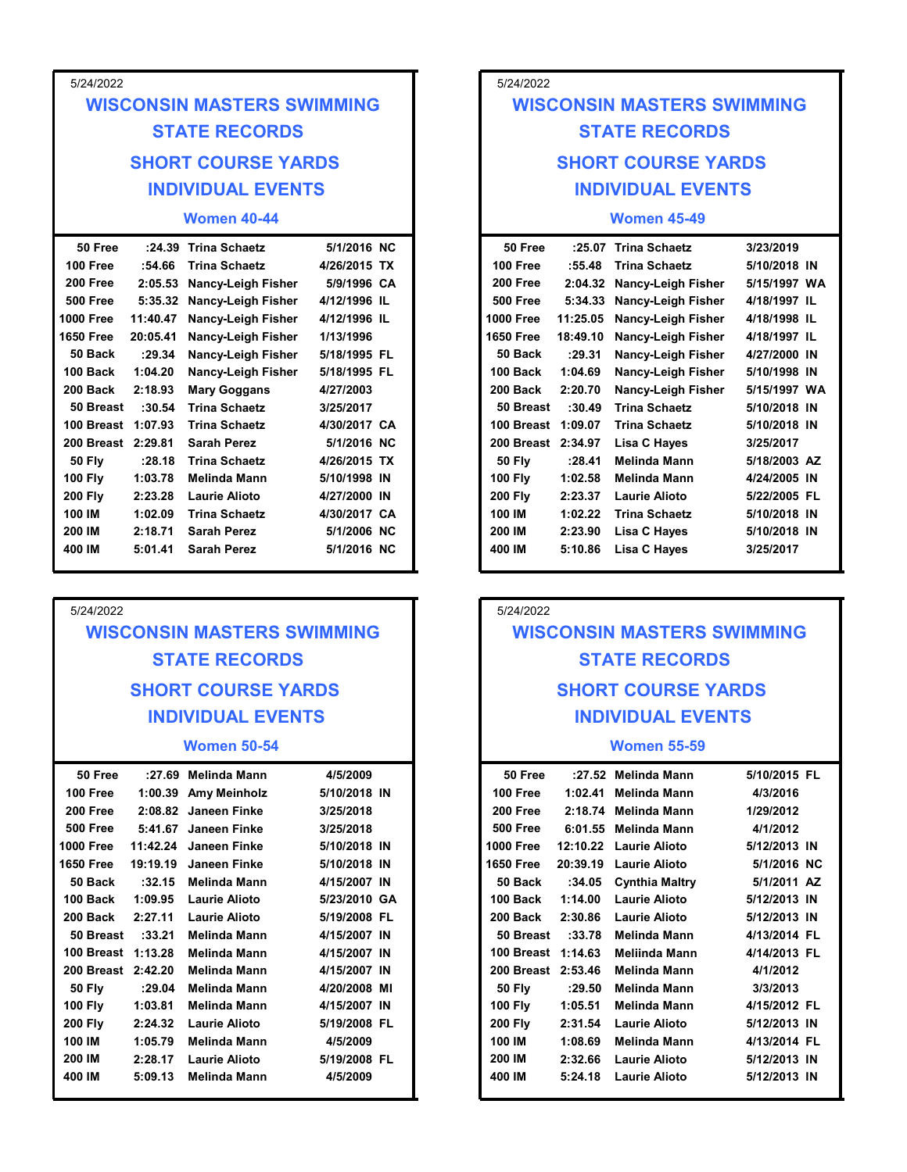| 5/24/2022                           |          |                                                  |                             |
|-------------------------------------|----------|--------------------------------------------------|-----------------------------|
|                                     |          | <b>WISCONSIN MASTERS SWIMMING</b>                |                             |
| <b>STATE RECORDS</b>                |          |                                                  |                             |
|                                     |          | <b>SHORT COURSE YARDS</b>                        |                             |
|                                     |          | <b>INDIVIDUAL EVENTS</b>                         |                             |
|                                     |          | <b>Women 40-44</b>                               |                             |
| 50 Free                             |          | :24.39 Trina Schaetz                             | 5/1/2016 NC                 |
| 100 Free<br><b>200 Free</b>         | :54.66   | <b>Trina Schaetz</b>                             | 4/26/2015 TX<br>5/9/1996 CA |
| <b>500 Free</b>                     | 2:05.53  | Nancy-Leigh Fisher<br>5:35.32 Nancy-Leigh Fisher | 4/12/1996 IL                |
| 1000 Free                           | 11:40.47 | <b>Nancy-Leigh Fisher</b>                        | 4/12/1996 IL                |
| <b>1650 Free</b>                    | 20:05.41 | Nancy-Leigh Fisher                               | 1/13/1996                   |
| 50 Back                             | : 29.34  | <b>Nancy-Leigh Fisher</b>                        | 5/18/1995 FL                |
| 100 Back                            | 1:04.20  | Nancy-Leigh Fisher                               | 5/18/1995 FL                |
| 200 Back                            | 2:18.93  | <b>Mary Goggans</b>                              | 4/27/2003                   |
|                                     | :30.54   | <b>Trina Schaetz</b>                             | 3/25/2017                   |
| 50 Breast                           |          | <b>Trina Schaetz</b>                             | 4/30/2017 CA                |
| 100 Breast 1:07.93                  |          |                                                  |                             |
| 200 Breast 2:29.81<br><b>50 Fly</b> | : 28.18  | <b>Sarah Perez</b><br><b>Trina Schaetz</b>       | 5/1/2016 NC<br>4/26/2015 TX |

| 5/24/2022 |
|-----------|
|-----------|

## WISCONSIN MASTERS SWIMMING STATE RECORDS SHORT COURSE YARDS INDIVIDUAL EVENTS

#### Women 50-54

| 50 Free            |          | :27.69 Melinda Mann   | 4/5/2009     | 50 Free            | :27.52 Melinda Mann    |  |
|--------------------|----------|-----------------------|--------------|--------------------|------------------------|--|
| 100 Free           |          | 1:00.39 Amy Meinholz  | 5/10/2018 IN | 100 Free           | 1:02.41 Melinda Mann   |  |
| 200 Free           |          | 2:08.82 Janeen Finke  | 3/25/2018    | 200 Free           | 2:18.74 Melinda Mann   |  |
| 500 Free           |          | 5:41.67 Janeen Finke  | 3/25/2018    | 500 Free           | 6:01.55 Melinda Mann   |  |
| 1000 Free          |          | 11:42.24 Janeen Finke | 5/10/2018 IN | 1000 Free          | 12:10.22 Laurie Alioto |  |
| <b>1650 Free</b>   | 19:19.19 | Janeen Finke          | 5/10/2018 IN | 1650 Free          | 20:39.19               |  |
| 50 Back            | :32.15   | Melinda Mann          | 4/15/2007 IN | 50 Back            | :34.05                 |  |
| 100 Back           | 1:09.95  | Laurie Alioto         | 5/23/2010 GA | 100 Back           | 1:14.00                |  |
| 200 Back           | 2:27.11  | <b>Laurie Alioto</b>  | 5/19/2008 FL | 200 Back           | 2:30.86                |  |
| 50 Breast          | :33.21   | <b>Melinda Mann</b>   | 4/15/2007 IN | 50 Breast          | :33.78                 |  |
| 100 Breast 1:13.28 |          | <b>Melinda Mann</b>   | 4/15/2007 IN | 100 Breast 1:14.63 |                        |  |
| 200 Breast 2:42.20 |          | <b>Melinda Mann</b>   | 4/15/2007 IN | 200 Breast 2:53.46 |                        |  |
| <b>50 Fly</b>      | :29.04   | <b>Melinda Mann</b>   | 4/20/2008 MI | <b>50 Fly</b>      | :29.50                 |  |
| <b>100 Fly</b>     | 1:03.81  | Melinda Mann          | 4/15/2007 IN | <b>100 Fly</b>     | 1:05.51                |  |
| <b>200 Fly</b>     | 2:24.32  | Laurie Alioto         | 5/19/2008 FL | <b>200 Fly</b>     | 2:31.54                |  |
| 100 IM             | 1:05.79  | <b>Melinda Mann</b>   | 4/5/2009     | 100 IM             | 1:08.69                |  |
| 200 IM             | 2:28.17  | Laurie Alioto         | 5/19/2008 FL | 200 IM             | 2:32.66                |  |
| 400 IM             | 5:09.13  | <b>Melinda Mann</b>   | 4/5/2009     | 400 IM             | 5:24.18                |  |
|                    |          |                       |              |                    |                        |  |

# SHORT COURSE YARDS SHORT COURSE YARDS INDIVIDUAL EVENTS INDIVIDUAL EVENTS 5/24/2022 5/24/2022<br>
WISCONSIN MASTERS SWIMMING<br>
STATE RECORDS<br>
SHORT COURSE YARDS<br>
INDIVIDUAL EVENTS<br>
Women 45-49<br>
50 Free :25.07 Trina Schaetz<br>
100 Free :55.48 Trina Schaetz<br>
200 Free 2:04.32 Nancy-Leigh Fisher 5/15/1997 VA<br>
200 F WISCONSIN MASTERS SWIMMING STATE RECORDS

### Women 45-49

| 5/24/2022                                                                                                                                                                                                                                   |                                                                                                                                                                                                                                                                                                                                                                                                                                                                                                                                                                                                                |                                                                                                                                                                                                                                                                                |
|---------------------------------------------------------------------------------------------------------------------------------------------------------------------------------------------------------------------------------------------|----------------------------------------------------------------------------------------------------------------------------------------------------------------------------------------------------------------------------------------------------------------------------------------------------------------------------------------------------------------------------------------------------------------------------------------------------------------------------------------------------------------------------------------------------------------------------------------------------------------|--------------------------------------------------------------------------------------------------------------------------------------------------------------------------------------------------------------------------------------------------------------------------------|
|                                                                                                                                                                                                                                             | <b>WISCONSIN MASTERS SWIMMING</b>                                                                                                                                                                                                                                                                                                                                                                                                                                                                                                                                                                              |                                                                                                                                                                                                                                                                                |
|                                                                                                                                                                                                                                             | <b>STATE RECORDS</b>                                                                                                                                                                                                                                                                                                                                                                                                                                                                                                                                                                                           |                                                                                                                                                                                                                                                                                |
|                                                                                                                                                                                                                                             | <b>SHORT COURSE YARDS</b>                                                                                                                                                                                                                                                                                                                                                                                                                                                                                                                                                                                      |                                                                                                                                                                                                                                                                                |
|                                                                                                                                                                                                                                             |                                                                                                                                                                                                                                                                                                                                                                                                                                                                                                                                                                                                                |                                                                                                                                                                                                                                                                                |
|                                                                                                                                                                                                                                             | <b>INDIVIDUAL EVENTS</b>                                                                                                                                                                                                                                                                                                                                                                                                                                                                                                                                                                                       |                                                                                                                                                                                                                                                                                |
|                                                                                                                                                                                                                                             | <b>Women 40-44</b>                                                                                                                                                                                                                                                                                                                                                                                                                                                                                                                                                                                             |                                                                                                                                                                                                                                                                                |
| 50 Free<br>100 Free<br>200 Free<br><b>500 Free</b><br>000 Free<br>650 Free<br>50 Back<br>100 Back<br>200 Back<br>50 Breast<br>100 Breast 1:07.93<br>200 Breast 2:29.81<br><b>50 Fly</b><br>100 Fly<br>200 Fly<br>100 IM<br>200 IM<br>400 IM | :24.39 Trina Schaetz<br>:54.66<br><b>Trina Schaetz</b><br>2:05.53<br><b>Nancy-Leigh Fisher</b><br>5:35.32 Nancy-Leigh Fisher<br>11:40.47<br><b>Nancy-Leigh Fisher</b><br>20:05.41<br><b>Nancy-Leigh Fisher</b><br>: 29.34<br><b>Nancy-Leigh Fisher</b><br>1:04.20<br>Nancy-Leigh Fisher<br>2:18.93<br><b>Mary Goggans</b><br><b>Trina Schaetz</b><br>:30.54<br><b>Trina Schaetz</b><br><b>Sarah Perez</b><br>:28.18<br><b>Trina Schaetz</b><br>1:03.78<br>Melinda Mann<br><b>Laurie Alioto</b><br>2:23.28<br><b>Trina Schaetz</b><br>1:02.09<br>2:18.71<br><b>Sarah Perez</b><br><b>Sarah Perez</b><br>5:01.41 | 5/1/2016 NC<br>4/26/2015 TX<br>5/9/1996 CA<br>4/12/1996 IL<br>4/12/1996 IL<br>1/13/1996<br>5/18/1995 FL<br>5/18/1995 FL<br>4/27/2003<br>3/25/2017<br>4/30/2017 CA<br>5/1/2016 NC<br>4/26/2015 TX<br>5/10/1998 IN<br>4/27/2000 IN<br>4/30/2017 CA<br>5/1/2006 NC<br>5/1/2016 NC |
| 5/24/2022<br><b>WISCONSIN MASTERS SWIMMING</b><br><b>STATE RECORDS</b><br><b>SHORT COURSE YARDS</b><br><b>INDIVIDUAL EVENTS</b>                                                                                                             |                                                                                                                                                                                                                                                                                                                                                                                                                                                                                                                                                                                                                |                                                                                                                                                                                                                                                                                |
| <b>Women 50-54</b>                                                                                                                                                                                                                          |                                                                                                                                                                                                                                                                                                                                                                                                                                                                                                                                                                                                                |                                                                                                                                                                                                                                                                                |
| 50 Free<br>100 Free<br>200 Free<br><b>500 Free</b><br>000 Free<br>650 Free                                                                                                                                                                  | :27.69 Melinda Mann<br>1:00.39 Amy Meinholz<br>2:08.82 Janeen Finke<br>5:41.67 Janeen Finke<br>11:42.24 Janeen Finke<br>19:19.19 Janeen Finke                                                                                                                                                                                                                                                                                                                                                                                                                                                                  | 4/5/2009<br>5/10/2018 IN<br>3/25/2018<br>3/25/2018<br>5/10/2018 IN<br>5/10/2018 IN                                                                                                                                                                                             |

## 5/24/2022 WISCONSIN MASTERS SWIMMING STATE RECORDS SHORT COURSE YARDS INDIVIDUAL EVENTS

#### Women 55-59

| Trina Schaetz           | 4/30/2017 CA | 100 IM             | 1:02.22 | Trina Schaetz                     | 5/10/2018 IN |
|-------------------------|--------------|--------------------|---------|-----------------------------------|--------------|
| Sarah Perez             | 5/1/2006 NC  | 200 IM             | 2:23.90 | <b>Lisa C Hayes</b>               | 5/10/2018 IN |
| Sarah Perez             | 5/1/2016 NC  | 400 IM             | 5:10.86 | Lisa C Hayes                      | 3/25/2017    |
|                         |              |                    |         |                                   |              |
|                         |              |                    |         |                                   |              |
|                         |              | 5/24/2022          |         |                                   |              |
| <b>MASTERS SWIMMING</b> |              |                    |         | <b>WISCONSIN MASTERS SWIMMING</b> |              |
| <b>TE RECORDS</b>       |              |                    |         | <b>STATE RECORDS</b>              |              |
|                         |              |                    |         |                                   |              |
| <b>COURSE YARDS</b>     |              |                    |         | <b>SHORT COURSE YARDS</b>         |              |
|                         |              |                    |         |                                   |              |
| <b>VIDUAL EVENTS</b>    |              |                    |         | <b>INDIVIDUAL EVENTS</b>          |              |
| <b>Nomen 50-54</b>      |              |                    |         | <b>Women 55-59</b>                |              |
| Melinda Mann            | 4/5/2009     | 50 Free            |         | :27.52 Melinda Mann               | 5/10/2015 FL |
| Amy Meinholz            | 5/10/2018 IN | 100 Free           |         | 1:02.41 Melinda Mann              | 4/3/2016     |
| Janeen Finke            | 3/25/2018    | 200 Free           |         | 2:18.74 Melinda Mann              | 1/29/2012    |
| Janeen Finke            | 3/25/2018    | <b>500 Free</b>    |         | 6:01.55 Melinda Mann              | 4/1/2012     |
| Janeen Finke            | 5/10/2018 IN | <b>1000 Free</b>   |         | 12:10.22 Laurie Alioto            | 5/12/2013 IN |
| Janeen Finke            | 5/10/2018 IN | <b>1650 Free</b>   |         | 20:39.19 Laurie Alioto            | 5/1/2016 NC  |
| Melinda Mann            | 4/15/2007 IN | 50 Back            | :34.05  | <b>Cynthia Maltry</b>             | 5/1/2011 AZ  |
| Laurie Alioto           | 5/23/2010 GA | 100 Back           | 1:14.00 | <b>Laurie Alioto</b>              | 5/12/2013 IN |
| Laurie Alioto           | 5/19/2008 FL | 200 Back           | 2:30.86 | <b>Laurie Alioto</b>              | 5/12/2013 IN |
| Melinda Mann            | 4/15/2007 IN | 50 Breast          | :33.78  | Melinda Mann                      | 4/13/2014 FL |
| Melinda Mann            | 4/15/2007 IN | 100 Breast 1:14.63 |         | Meliinda Mann                     | 4/14/2013 FL |
| Melinda Mann            | 4/15/2007 IN | 200 Breast 2:53.46 |         | Melinda Mann                      | 4/1/2012     |
| Melinda Mann            | 4/20/2008 MI | <b>50 Fly</b>      | :29.50  | Melinda Mann                      | 3/3/2013     |
| Melinda Mann            | 4/15/2007 IN | <b>100 Fly</b>     | 1:05.51 | Melinda Mann                      | 4/15/2012 FL |
| Laurie Alioto           | 5/19/2008 FL | <b>200 Fly</b>     | 2:31.54 | <b>Laurie Alioto</b>              | 5/12/2013 IN |
| Melinda Mann            | 4/5/2009     | 100 IM             | 1:08.69 | Melinda Mann                      | 4/13/2014 FL |
| Laurie Alioto           | 5/19/2008 FL | 200 IM             | 2:32.66 | Laurie Alioto                     | 5/12/2013 IN |
| Melinda Mann            | 4/5/2009     | 400 IM             | 5:24.18 | <b>Laurie Alioto</b>              | 5/12/2013 IN |
|                         |              |                    |         |                                   |              |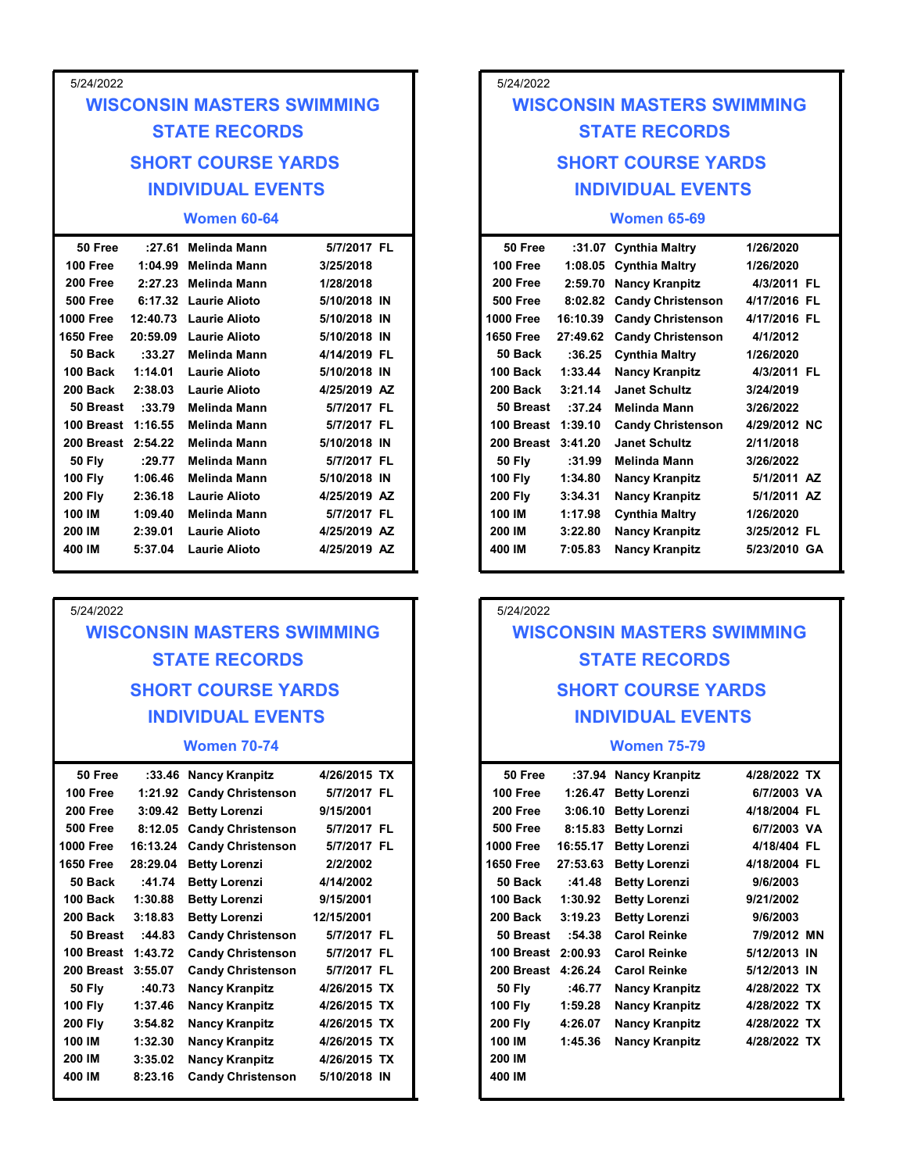| 5/24/2022            |                                                    |                        | 5/24/2022            |                                                  |                          |
|----------------------|----------------------------------------------------|------------------------|----------------------|--------------------------------------------------|--------------------------|
|                      | <b>WISCONSIN MASTERS SWIMMING</b>                  |                        |                      | <b>WISCONSIN MASTERS SWIMMING</b>                |                          |
|                      | <b>STATE RECORDS</b>                               |                        |                      | <b>STATE RECORDS</b>                             |                          |
|                      | <b>SHORT COURSE YARDS</b>                          |                        |                      | <b>SHORT COURSE YARDS</b>                        |                          |
|                      | <b>INDIVIDUAL EVENTS</b>                           |                        |                      | <b>INDIVIDUAL EVENTS</b>                         |                          |
|                      | <b>Women 60-64</b>                                 |                        |                      | <b>Women 65-69</b>                               |                          |
| 50 Free              | Melinda Mann<br>:27.61                             | 5/7/2017 FL            | 50 Free              | :31.07 Cynthia Maltry                            | 1/26/2020                |
| 100 Free<br>200 Free | Melinda Mann<br>1:04.99<br>Melinda Mann<br>2:27.23 | 3/25/2018<br>1/28/2018 | 100 Free<br>200 Free | 1:08.05 Cynthia Maltry<br>2:59.70 Nancy Kranpitz | 1/26/2020<br>4/3/2011 FL |
| <b>500 Free</b>      | 6:17.32 Laurie Alioto                              | 5/10/2018 IN           | <b>500 Free</b>      | 8:02.82 Candy Christenson                        | 4/17/2016 FL             |
| 1000 Free            | 12:40.73 Laurie Alioto                             | 5/10/2018 IN           | <b>1000 Free</b>     | 16:10.39 Candy Christenson                       | 4/17/2016 FL             |
| 1650 Free            | 20:59.09 Laurie Alioto                             | 5/10/2018 IN           | <b>1650 Free</b>     | 27:49.62 Candy Christenson                       | 4/1/2012                 |

| <b>500 Free</b>    |          | 6:17.32 Laurie Alioto  | 5/10/2018 IN | 500 Free           |         | 8:02.82 Candy Christenson  |
|--------------------|----------|------------------------|--------------|--------------------|---------|----------------------------|
| <b>1000 Free</b>   |          | 12:40.73 Laurie Alioto | 5/10/2018 IN | <b>1000 Free</b>   |         | 16:10.39 Candy Christenson |
| <b>1650 Free</b>   | 20:59.09 | <b>Laurie Alioto</b>   | 5/10/2018 IN | <b>1650 Free</b>   |         | 27:49.62 Candy Christenson |
| 50 Back            | :33.27   | Melinda Mann           | 4/14/2019 FL | 50 Back            |         | :36.25 Cynthia Maltry      |
| 100 Back           | 1:14.01  | Laurie Alioto          | 5/10/2018 IN | 100 Back           | 1:33.44 | <b>Nancy Kranpitz</b>      |
| 200 Back           | 2:38.03  | Laurie Alioto          | 4/25/2019 AZ | 200 Back           | 3:21.14 | <b>Janet Schultz</b>       |
| 50 Breast          | :33.79   | Melinda Mann           | 5/7/2017 FL  | 50 Breast          | :37.24  | Melinda Mann               |
| 100 Breast 1:16.55 |          | Melinda Mann           | 5/7/2017 FL  | 100 Breast 1:39.10 |         | <b>Candy Christenson</b>   |
| 200 Breast 2:54.22 |          | Melinda Mann           | 5/10/2018 IN | 200 Breast 3:41.20 |         | <b>Janet Schultz</b>       |
| <b>50 Fly</b>      | : 29.77  | Melinda Mann           | 5/7/2017 FL  | <b>50 Flv</b>      | :31.99  | <b>Melinda Mann</b>        |
| <b>100 Fly</b>     | 1:06.46  | Melinda Mann           | 5/10/2018 IN | <b>100 Fly</b>     | 1:34.80 | <b>Nancy Kranpitz</b>      |
| <b>200 Fly</b>     | 2:36.18  | Laurie Alioto          | 4/25/2019 AZ | <b>200 Fly</b>     | 3:34.31 | <b>Nancy Kranpitz</b>      |
| 100 IM             | 1:09.40  | Melinda Mann           | 5/7/2017 FL  | 100 IM             | 1:17.98 | <b>Cynthia Maltry</b>      |
| 200 IM             | 2:39.01  | Laurie Alioto          | 4/25/2019 AZ | 200 IM             | 3:22.80 | <b>Nancy Kranpitz</b>      |
| 400 IM             | 5:37.04  | Laurie Alioto          | 4/25/2019 AZ | 400 IM             | 7:05.83 | <b>Nancy Kranpitz</b>      |

## WISCONSIN MASTERS SWIMMING STATE RECORDS SHORT COURSE YARDS INDIVIDUAL EVENTS

#### Women 70-74

| 50 Free            |          | :33.46 Nancy Kranpitz     | 4/26/2015 TX | 50 Free            |          | :37.94 Nancy Kranpitz |
|--------------------|----------|---------------------------|--------------|--------------------|----------|-----------------------|
| 100 Free           |          | 1:21.92 Candy Christenson | 5/7/2017 FL  | 100 Free           | 1:26.47  | <b>Betty Lorenzi</b>  |
| 200 Free           |          | 3:09.42 Betty Lorenzi     | 9/15/2001    | 200 Free           | 3:06.10  | <b>Betty Lorenzi</b>  |
| 500 Free           |          | 8:12.05 Candy Christenson | 5/7/2017 FL  | <b>500 Free</b>    | 8:15.83  | <b>Betty Lornzi</b>   |
| <b>1000 Free</b>   | 16:13.24 | <b>Candy Christenson</b>  | 5/7/2017 FL  | <b>1000 Free</b>   | 16:55.17 | <b>Betty Lorenzi</b>  |
| <b>1650 Free</b>   | 28:29.04 | <b>Betty Lorenzi</b>      | 2/2/2002     | <b>1650 Free</b>   | 27:53.63 | <b>Betty Lorenzi</b>  |
| 50 Back            | :41.74   | <b>Betty Lorenzi</b>      | 4/14/2002    | 50 Back            | :41.48   | <b>Betty Lorenzi</b>  |
| 100 Back           | 1:30.88  | <b>Betty Lorenzi</b>      | 9/15/2001    | 100 Back           | 1:30.92  | <b>Betty Lorenzi</b>  |
| 200 Back           | 3:18.83  | <b>Betty Lorenzi</b>      | 12/15/2001   | 200 Back           | 3:19.23  | <b>Betty Lorenzi</b>  |
| 50 Breast          | :44.83   | <b>Candy Christenson</b>  | 5/7/2017 FL  | 50 Breast          | :54.38   | <b>Carol Reinke</b>   |
| 100 Breast 1:43.72 |          | <b>Candy Christenson</b>  | 5/7/2017 FL  | 100 Breast 2:00.93 |          | <b>Carol Reinke</b>   |
| 200 Breast 3:55.07 |          | <b>Candy Christenson</b>  | 5/7/2017 FL  | 200 Breast 4:26.24 |          | <b>Carol Reinke</b>   |
| <b>50 Fly</b>      | :40.73   | <b>Nancy Kranpitz</b>     | 4/26/2015 TX | <b>50 Fly</b>      | :46.77   | <b>Nancy Kranpitz</b> |
| <b>100 Fly</b>     | 1:37.46  | <b>Nancy Kranpitz</b>     | 4/26/2015 TX | <b>100 Fly</b>     | 1:59.28  | <b>Nancy Kranpitz</b> |
| <b>200 Fly</b>     | 3:54.82  | <b>Nancy Kranpitz</b>     | 4/26/2015 TX | <b>200 Fly</b>     | 4:26.07  | <b>Nancy Kranpitz</b> |
| 100 IM             | 1:32.30  | <b>Nancy Kranpitz</b>     | 4/26/2015 TX | 100 IM             | 1:45.36  | <b>Nancy Kranpitz</b> |
| 200 IM             | 3:35.02  | <b>Nancy Kranpitz</b>     | 4/26/2015 TX | 200 IM             |          |                       |
| 400 IM             | 8:23.16  | <b>Candy Christenson</b>  | 5/10/2018 IN | 400 IM             |          |                       |
|                    |          |                           |              |                    |          |                       |

# SHORT COURSE YARDS SHORT COURSE YARDS INDIVIDUAL EVENTS INDIVIDUAL EVENTS 5/24/2022 5/24/2022<br>
WISCONSIN MASTERS SWIMMING<br>
STATE RECORDS<br>
SHORT COURSE YARDS<br>
INDIVIDUAL EVENTS<br>
Women 65-69<br>
50 Free :31.07 Cynthia Maltry 1/26/2020<br>
100 Free 1:08.05 Cynthia Maltry 1/26/2020<br>
200 Free 8:02.82 Candy Christen WISCONSIN MASTERS SWIMMING STATE RECORDS

#### Women 65-69

|                                                  |                             | 5/24/2022            |                                                                               |                                                |                             |  |
|--------------------------------------------------|-----------------------------|----------------------|-------------------------------------------------------------------------------|------------------------------------------------|-----------------------------|--|
| <b>MASTERS SWIMMING</b>                          |                             |                      |                                                                               | <b>WISCONSIN MASTERS SWIMMING</b>              |                             |  |
| <b>TE RECORDS</b>                                |                             |                      | <b>STATE RECORDS</b><br><b>SHORT COURSE YARDS</b><br><b>INDIVIDUAL EVENTS</b> |                                                |                             |  |
| <b>COURSE YARDS</b>                              |                             |                      |                                                                               |                                                |                             |  |
| <b>VIDUAL EVENTS</b>                             |                             |                      |                                                                               |                                                |                             |  |
| <b>Nomen 60-64</b>                               |                             |                      |                                                                               | <b>Women 65-69</b>                             |                             |  |
| Melinda Mann                                     | 5/7/2017 FL                 | 50 Free              |                                                                               | :31.07 Cynthia Maltry                          | 1/26/2020                   |  |
| Melinda Mann                                     | 3/25/2018                   | 100 Free             |                                                                               | 1:08.05 Cynthia Maltry                         | 1/26/2020                   |  |
| Melinda Mann                                     | 1/28/2018                   | 200 Free             | 2:59.70                                                                       | <b>Nancy Kranpitz</b>                          | 4/3/2011 FL                 |  |
| Laurie Alioto                                    | 5/10/2018 IN                | <b>500 Free</b>      | 8:02.82                                                                       | <b>Candy Christenson</b>                       | 4/17/2016 FL                |  |
| Laurie Alioto                                    | 5/10/2018 IN                | <b>1000 Free</b>     | 16:10.39                                                                      | <b>Candy Christenson</b>                       | 4/17/2016 FL                |  |
| Laurie Alioto                                    | 5/10/2018 IN                | <b>1650 Free</b>     | 27:49.62                                                                      | <b>Candy Christenson</b>                       | 4/1/2012                    |  |
| Melinda Mann                                     | 4/14/2019 FL                | 50 Back              | :36.25                                                                        | <b>Cynthia Maltry</b>                          | 1/26/2020                   |  |
| Laurie Alioto                                    | 5/10/2018 IN                | 100 Back<br>200 Back | 1:33.44                                                                       | <b>Nancy Kranpitz</b>                          | 4/3/2011 FL                 |  |
| Laurie Alioto                                    | 4/25/2019 AZ<br>5/7/2017 FL | 50 Breast            | 3:21.14                                                                       | <b>Janet Schultz</b><br>Melinda Mann           | 3/24/2019<br>3/26/2022      |  |
| Melinda Mann<br>Melinda Mann                     | 5/7/2017 FL                 | 100 Breast 1:39.10   | :37.24                                                                        | <b>Candy Christenson</b>                       | 4/29/2012 NC                |  |
| Melinda Mann                                     | 5/10/2018 IN                | 200 Breast 3:41.20   |                                                                               | <b>Janet Schultz</b>                           | 2/11/2018                   |  |
| Melinda Mann                                     | 5/7/2017 FL                 | <b>50 Fly</b>        | :31.99                                                                        | Melinda Mann                                   | 3/26/2022                   |  |
| Melinda Mann                                     | 5/10/2018 IN                | <b>100 Fly</b>       | 1:34.80                                                                       | <b>Nancy Kranpitz</b>                          | 5/1/2011 AZ                 |  |
| Laurie Alioto                                    | 4/25/2019 AZ                | <b>200 Fly</b>       | 3:34.31                                                                       | <b>Nancy Kranpitz</b>                          | 5/1/2011 AZ                 |  |
| Melinda Mann                                     | 5/7/2017 FL                 | 100 IM               | 1:17.98                                                                       | <b>Cynthia Maltry</b>                          | 1/26/2020                   |  |
| Laurie Alioto                                    | 4/25/2019 AZ                | 200 IM               | 3:22.80                                                                       | <b>Nancy Kranpitz</b>                          | 3/25/2012 FL                |  |
| Laurie Alioto                                    | 4/25/2019 AZ                | 400 IM               | 7:05.83                                                                       | <b>Nancy Kranpitz</b>                          | 5/23/2010 GA                |  |
|                                                  |                             |                      |                                                                               |                                                |                             |  |
|                                                  |                             | 5/24/2022            |                                                                               |                                                |                             |  |
| <b>MASTERS SWIMMING</b>                          |                             |                      |                                                                               | <b>WISCONSIN MASTERS SWIMMING</b>              |                             |  |
| <b>TE RECORDS</b>                                |                             |                      |                                                                               | <b>STATE RECORDS</b>                           |                             |  |
| <b>COURSE YARDS</b>                              |                             |                      |                                                                               | <b>SHORT COURSE YARDS</b>                      |                             |  |
| <b>VIDUAL EVENTS</b>                             |                             |                      |                                                                               | <b>INDIVIDUAL EVENTS</b>                       |                             |  |
| <b>Nomen 70-74</b>                               |                             |                      |                                                                               | <b>Women 75-79</b>                             |                             |  |
|                                                  |                             |                      |                                                                               |                                                |                             |  |
| Nancy Kranpitz                                   | 4/26/2015 TX                | 50 Free              |                                                                               | :37.94 Nancy Kranpitz                          | 4/28/2022 TX                |  |
| <b>Candy Christenson</b><br><b>Betty Lorenzi</b> | 5/7/2017 FL<br>9/15/2001    | 100 Free<br>200 Free |                                                                               | 1:26.47 Betty Lorenzi<br>3:06.10 Betty Lorenzi | 6/7/2003 VA<br>4/18/2004 FL |  |
| <b>Candy Christenson</b>                         | 5/7/2017 FL                 | <b>500 Free</b>      |                                                                               | 8:15.83 Betty Lornzi                           | 6/7/2003 VA                 |  |
| <b>Candy Christenson</b>                         | 5/7/2017 FL                 | <b>1000 Free</b>     |                                                                               | 16:55.17 Betty Lorenzi                         | 4/18/404 FL                 |  |
| <b>Betty Lorenzi</b>                             | 2/2/2002                    | <b>1650 Free</b>     |                                                                               | 27:53.63 Betty Lorenzi                         | 4/18/2004 FL                |  |

## 5/24/2022

## WISCONSIN MASTERS SWIMMING STATE RECORDS SHORT COURSE YARDS INDIVIDUAL EVENTS

#### Women 75-79

| Nancy Kranpitz    | 4/26/2015 TX | 50 Free            |          | :37.94 Nancy Kranpitz | 4/28/2022 TX |  |
|-------------------|--------------|--------------------|----------|-----------------------|--------------|--|
| Candy Christenson | 5/7/2017 FL  | 100 Free           | 1:26.47  | <b>Betty Lorenzi</b>  | 6/7/2003 VA  |  |
| Betty Lorenzi     | 9/15/2001    | 200 Free           |          | 3:06.10 Betty Lorenzi | 4/18/2004 FL |  |
| Candy Christenson | 5/7/2017 FL  | <b>500 Free</b>    |          | 8:15.83 Betty Lornzi  | 6/7/2003 VA  |  |
| Candy Christenson | 5/7/2017 FL  | <b>1000 Free</b>   | 16:55.17 | <b>Betty Lorenzi</b>  | 4/18/404 FL  |  |
| Betty Lorenzi     | 2/2/2002     | <b>1650 Free</b>   | 27:53.63 | Betty Lorenzi         | 4/18/2004 FL |  |
| Betty Lorenzi     | 4/14/2002    | 50 Back            | :41.48   | <b>Betty Lorenzi</b>  | 9/6/2003     |  |
| Betty Lorenzi     | 9/15/2001    | 100 Back           | 1:30.92  | <b>Betty Lorenzi</b>  | 9/21/2002    |  |
| Betty Lorenzi     | 12/15/2001   | 200 Back           | 3:19.23  | <b>Betty Lorenzi</b>  | 9/6/2003     |  |
| Candy Christenson | 5/7/2017 FL  | 50 Breast          | :54.38   | <b>Carol Reinke</b>   | 7/9/2012 MN  |  |
| Candy Christenson | 5/7/2017 FL  | 100 Breast 2:00.93 |          | <b>Carol Reinke</b>   | 5/12/2013 IN |  |
| Candy Christenson | 5/7/2017 FL  | 200 Breast         | 4:26.24  | <b>Carol Reinke</b>   | 5/12/2013 IN |  |
| Nancy Kranpitz    | 4/26/2015 TX | <b>50 Fly</b>      | :46.77   | <b>Nancy Kranpitz</b> | 4/28/2022 TX |  |
| Nancy Kranpitz    | 4/26/2015 TX | <b>100 Fly</b>     | 1:59.28  | <b>Nancy Kranpitz</b> | 4/28/2022 TX |  |
| Nancy Kranpitz    | 4/26/2015 TX | <b>200 Fly</b>     | 4:26.07  | <b>Nancy Kranpitz</b> | 4/28/2022 TX |  |
| Nancy Kranpitz    | 4/26/2015 TX | 100 IM             | 1:45.36  | <b>Nancy Kranpitz</b> | 4/28/2022 TX |  |
| Nancy Kranpitz    | 4/26/2015 TX | 200 IM             |          |                       |              |  |
| Candy Christenson | 5/10/2018 IN | 400 IM             |          |                       |              |  |
|                   |              |                    |          |                       |              |  |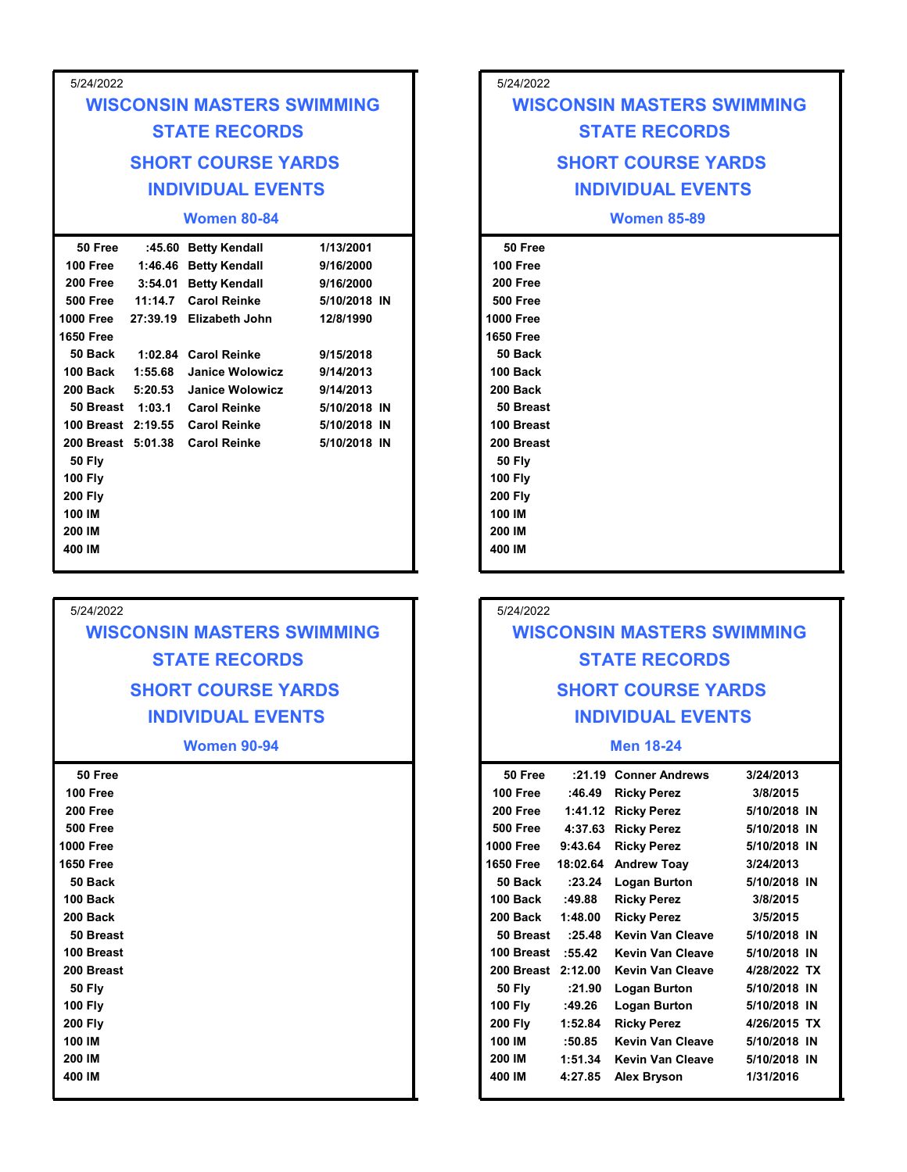| 5/24/2022<br>5/24/2022<br><b>WISCONSIN MASTERS SWIMMING</b><br><b>WISCONSIN MASTERS SWIMMING</b><br><b>STATE RECORDS</b><br><b>STATE RECORDS</b><br><b>SHORT COURSE YARDS</b><br><b>SHORT COURSE YARDS</b><br><b>INDIVIDUAL EVENTS</b><br><b>INDIVIDUAL EVENTS</b><br><b>Women 80-84</b><br><b>Women 85-89</b><br>:45.60 Betty Kendall<br>50 Free<br>50 Free<br>1/13/2001                                                                                                                                                                                                                                                                                                                                                                                                                                                                                                                                                 |
|---------------------------------------------------------------------------------------------------------------------------------------------------------------------------------------------------------------------------------------------------------------------------------------------------------------------------------------------------------------------------------------------------------------------------------------------------------------------------------------------------------------------------------------------------------------------------------------------------------------------------------------------------------------------------------------------------------------------------------------------------------------------------------------------------------------------------------------------------------------------------------------------------------------------------|
|                                                                                                                                                                                                                                                                                                                                                                                                                                                                                                                                                                                                                                                                                                                                                                                                                                                                                                                           |
|                                                                                                                                                                                                                                                                                                                                                                                                                                                                                                                                                                                                                                                                                                                                                                                                                                                                                                                           |
|                                                                                                                                                                                                                                                                                                                                                                                                                                                                                                                                                                                                                                                                                                                                                                                                                                                                                                                           |
|                                                                                                                                                                                                                                                                                                                                                                                                                                                                                                                                                                                                                                                                                                                                                                                                                                                                                                                           |
|                                                                                                                                                                                                                                                                                                                                                                                                                                                                                                                                                                                                                                                                                                                                                                                                                                                                                                                           |
|                                                                                                                                                                                                                                                                                                                                                                                                                                                                                                                                                                                                                                                                                                                                                                                                                                                                                                                           |
|                                                                                                                                                                                                                                                                                                                                                                                                                                                                                                                                                                                                                                                                                                                                                                                                                                                                                                                           |
|                                                                                                                                                                                                                                                                                                                                                                                                                                                                                                                                                                                                                                                                                                                                                                                                                                                                                                                           |
| 100 Free<br>100 Free<br>1:46.46 Betty Kendall<br>9/16/2000<br>3:54.01 Betty Kendall<br>9/16/2000<br>200 Free<br>200 Free<br><b>Carol Reinke</b><br>5/10/2018 IN<br><b>500 Free</b><br>500 Free<br>11:14.7<br><b>1000 Free</b><br>27:39.19 Elizabeth John<br>1000 Free<br>12/8/1990<br><b>1650 Free</b><br><b>1650 Free</b><br>1:02.84 Carol Reinke<br>9/15/2018<br>50 Back<br>50 Back<br>100 Back<br>1:55.68<br><b>Janice Wolowicz</b><br>9/14/2013<br>100 Back<br><b>Janice Wolowicz</b><br>200 Back<br>200 Back<br>5:20.53<br>9/14/2013<br>50 Breast 1:03.1<br><b>Carol Reinke</b><br>5/10/2018 IN<br>50 Breast<br>100 Breast<br>100 Breast 2:19.55<br><b>Carol Reinke</b><br>5/10/2018 IN<br>200 Breast 5:01.38<br>5/10/2018 IN<br>200 Breast<br><b>Carol Reinke</b><br><b>50 Fly</b><br><b>50 Fly</b><br><b>100 Fly</b><br><b>100 Fly</b><br><b>200 Fly</b><br><b>200 Fly</b><br>100 IM<br>100 IM<br>200 IM<br>200 IM |

## 5/24/2022 WISCONSIN MASTERS SWIMMING STATE RECORDS SHORT COURSE YARDS INDIVIDUAL EVENTS

Women 90-94

| 50 Free          |  |              |
|------------------|--|--------------|
| 100 Free         |  |              |
| 200 Free         |  |              |
| <b>500 Free</b>  |  |              |
| <b>1000 Free</b> |  | $\mathbf{1}$ |
| <b>1650 Free</b> |  | 1            |
| 50 Back          |  |              |
| 100 Back         |  |              |
| 200 Back         |  | 2            |
| 50 Breast        |  |              |
| 100 Breast       |  |              |
| 200 Breast       |  | 2            |
| <b>50 Fly</b>    |  |              |
| <b>100 Fly</b>   |  |              |
| <b>200 Fly</b>   |  | 2            |
| 100 IM           |  |              |
| 200 IM           |  | 2            |
| 400 IM           |  | 4            |
|                  |  |              |

## 5/24/2022 WISCONSIN MASTERS SWIMMING STATE RECORDS

## 5/24/2022

## WISCONSIN MASTERS SWIMMING STATE RECORDS SHORT COURSE YARDS INDIVIDUAL EVENTS

#### Men 18-24

| 50 Free            | :21.19   | <b>Conner Andrews</b>   | 3/24/2013    |
|--------------------|----------|-------------------------|--------------|
| 100 Free           | :46.49   | <b>Ricky Perez</b>      | 3/8/2015     |
| 200 Free           | 1:41.12  | <b>Ricky Perez</b>      | 5/10/2018 IN |
| <b>500 Free</b>    | 4:37.63  | <b>Ricky Perez</b>      | 5/10/2018 IN |
| 1000 Free          | 9:43.64  | <b>Ricky Perez</b>      | 5/10/2018 IN |
| 1650 Free          | 18:02.64 | <b>Andrew Toay</b>      | 3/24/2013    |
| 50 Back            | : 23.24  | <b>Logan Burton</b>     | 5/10/2018 IN |
| 100 Back           | :49.88   | <b>Ricky Perez</b>      | 3/8/2015     |
| 200 Back           | 1:48.00  | <b>Ricky Perez</b>      | 3/5/2015     |
| 50 Breast          | :25.48   | <b>Kevin Van Cleave</b> | 5/10/2018 IN |
| 100 Breast         | :55.42   | <b>Kevin Van Cleave</b> | 5/10/2018 IN |
| 200 Breast 2:12.00 |          | Kevin Van Cleave        | 4/28/2022 TX |
| <b>50 Fly</b>      | :21.90   | <b>Logan Burton</b>     | 5/10/2018 IN |
| <b>100 Fly</b>     | :49.26   | <b>Logan Burton</b>     | 5/10/2018 IN |
| <b>200 Fly</b>     | 1:52.84  | <b>Ricky Perez</b>      | 4/26/2015 TX |
| 100 IM             | :50.85   | Kevin Van Cleave        | 5/10/2018 IN |
| 200 IM             | 1:51.34  | Kevin Van Cleave        | 5/10/2018 IN |
| 400 IM             | 4:27.85  | <b>Alex Bryson</b>      | 1/31/2016    |
|                    |          |                         |              |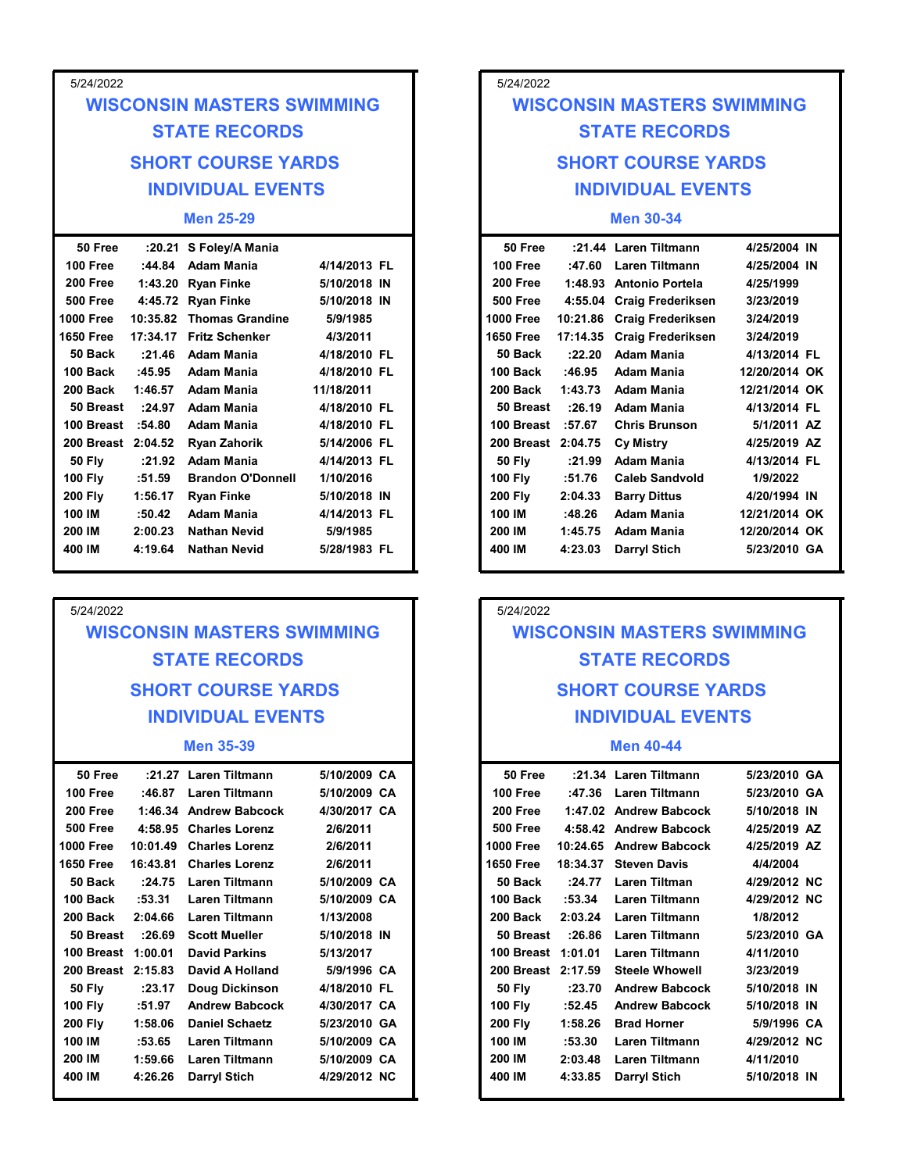| 5/24/2022          |         |                                   |              |  | 5/24/2022                   |          |                            |  |
|--------------------|---------|-----------------------------------|--------------|--|-----------------------------|----------|----------------------------|--|
|                    |         | <b>WISCONSIN MASTERS SWIMMING</b> |              |  | <b>WISCONSIN MASTERS SV</b> |          |                            |  |
|                    |         |                                   |              |  |                             |          |                            |  |
|                    |         | <b>STATE RECORDS</b>              |              |  | <b>STATE RECORDS</b>        |          |                            |  |
|                    |         | <b>SHORT COURSE YARDS</b>         |              |  | <b>SHORT COURSE YAI</b>     |          |                            |  |
|                    |         | <b>INDIVIDUAL EVENTS</b>          |              |  |                             |          | <b>INDIVIDUAL EVENT</b>    |  |
|                    |         |                                   |              |  |                             |          |                            |  |
|                    |         | <b>Men 25-29</b>                  |              |  |                             |          | <b>Men 30-34</b>           |  |
| 50 Free            |         | :20.21 S Foley/A Mania            |              |  | 50 Free                     |          | :21.44 Laren Tiltmann      |  |
| 100 Free           | :44.84  | Adam Mania                        | 4/14/2013 FL |  | $100$ Free                  | :47.60   | <b>Laren Tiltmann</b>      |  |
| 200 Free           |         | 1:43.20 Ryan Finke                | 5/10/2018 IN |  | 200 Free                    |          | 1:48.93 Antonio Portela    |  |
| <b>500 Free</b>    |         | 4:45.72 Ryan Finke                | 5/10/2018 IN |  | <b>500 Free</b>             |          | 4:55.04 Craig Frederiksen  |  |
| 1000 Free          |         | 10:35.82 Thomas Grandine          | 5/9/1985     |  | <b>1000 Free</b>            |          | 10:21.86 Craig Frederiksen |  |
| <b>1650 Free</b>   |         | 17:34.17 Fritz Schenker           | 4/3/2011     |  | <b>1650 Free</b>            | 17:14.35 | <b>Craig Frederiksen</b>   |  |
| 50 Back            | :21.46  | <b>Adam Mania</b>                 | 4/18/2010 FL |  | 50 Back                     | :22.20   | <b>Adam Mania</b>          |  |
| 100 Back           | :45.95  | <b>Adam Mania</b>                 | 4/18/2010 FL |  | 100 Back                    | :46.95   | <b>Adam Mania</b>          |  |
| 200 Back           | 1:46.57 | <b>Adam Mania</b>                 | 11/18/2011   |  | 200 Back                    | 1:43.73  | <b>Adam Mania</b>          |  |
|                    |         | 50 Breast : 24.97 Adam Mania      | 4/18/2010 FL |  | 50 Breast                   | :26.19   | <b>Adam Mania</b>          |  |
| 100 Breast :54.80  |         | Adam Mania                        | 4/18/2010 FL |  | 100 Breast                  | :57.67   | <b>Chris Brunson</b>       |  |
| 200 Breast 2:04.52 |         | <b>Ryan Zahorik</b>               | 5/14/2006 FL |  | 200 Breast 2:04.75          |          | <b>Cy Mistry</b>           |  |
| <b>50 Fly</b>      |         | :21.92 Adam Mania                 | 4/14/2013 FL |  | <b>50 Fly</b>               | :21.99   | <b>Adam Mania</b>          |  |
| <b>100 Fly</b>     | :51.59  | <b>Brandon O'Donnell</b>          | 1/10/2016    |  | <b>100 Fly</b>              | :51.76   | <b>Caleb Sandvold</b>      |  |
| 200 Fly            | 1:56.17 | <b>Ryan Finke</b>                 | 5/10/2018 IN |  | <b>200 Fly</b>              | 2:04.33  | <b>Barry Dittus</b>        |  |
| 100 IM             | :50.42  | Adam Mania                        | 4/14/2013 FL |  | 100 IM                      | :48.26   | Adam Mania                 |  |
| 200 IM             | 2:00.23 | <b>Nathan Nevid</b>               | 5/9/1985     |  | 200 IM                      | 1:45.75  | <b>Adam Mania</b>          |  |
|                    |         |                                   |              |  |                             |          |                            |  |

## WISCONSIN MASTERS SWIMMING STATE RECORDS SHORT COURSE YARDS INDIVIDUAL EVENTS

#### Men 35-39

| 50 Free            |          | :21.27 Laren Tiltmann  | 5/10/2009 CA | 50 Free            |          | :21.34 Laren Tiltmann   |
|--------------------|----------|------------------------|--------------|--------------------|----------|-------------------------|
| 100 Free           | :46.87   | <b>Laren Tiltmann</b>  | 5/10/2009 CA | 100 Free           | :47.36   | Laren Tiltmann          |
| 200 Free           |          | 1:46.34 Andrew Babcock | 4/30/2017 CA | 200 Free           |          | 1:47.02 Andrew Babcock  |
| <b>500 Free</b>    |          | 4:58.95 Charles Lorenz | 2/6/2011     | <b>500 Free</b>    |          | 4:58.42 Andrew Babcock  |
| <b>1000 Free</b>   | 10:01.49 | <b>Charles Lorenz</b>  | 2/6/2011     | <b>1000 Free</b>   |          | 10:24.65 Andrew Babcock |
| <b>1650 Free</b>   | 16:43.81 | <b>Charles Lorenz</b>  | 2/6/2011     | <b>1650 Free</b>   | 18:34.37 | <b>Steven Davis</b>     |
| 50 Back            | :24.75   | Laren Tiltmann         | 5/10/2009 CA | 50 Back            | :24.77   | Laren Tiltman           |
| 100 Back           | :53.31   | Laren Tiltmann         | 5/10/2009 CA | 100 Back           | :53.34   | Laren Tiltmann          |
| 200 Back           | 2:04.66  | Laren Tiltmann         | 1/13/2008    | 200 Back           | 2:03.24  | <b>Laren Tiltmann</b>   |
| 50 Breast          | :26.69   | <b>Scott Mueller</b>   | 5/10/2018 IN | 50 Breast          | :26.86   | <b>Laren Tiltmann</b>   |
| 100 Breast 1:00.01 |          | <b>David Parkins</b>   | 5/13/2017    | 100 Breast 1:01.01 |          | Laren Tiltmann          |
| 200 Breast 2:15.83 |          | David A Holland        | 5/9/1996 CA  | 200 Breast 2:17.59 |          | <b>Steele Whowell</b>   |
| <b>50 Fly</b>      | : 23.17  | Doug Dickinson         | 4/18/2010 FL | <b>50 Fly</b>      | : 23.70  | <b>Andrew Babcock</b>   |
| <b>100 Fly</b>     | :51.97   | <b>Andrew Babcock</b>  | 4/30/2017 CA | <b>100 Fly</b>     | :52.45   | <b>Andrew Babcock</b>   |
| <b>200 Fly</b>     | 1:58.06  | <b>Daniel Schaetz</b>  | 5/23/2010 GA | <b>200 Fly</b>     | 1:58.26  | <b>Brad Horner</b>      |
| 100 IM             | :53.65   | Laren Tiltmann         | 5/10/2009 CA | 100 IM             | :53.30   | Laren Tiltmann          |
| 200 IM             | 1:59.66  | Laren Tiltmann         | 5/10/2009 CA | 200 IM             | 2:03.48  | <b>Laren Tiltmann</b>   |
| 400 IM             | 4:26.26  | Darryl Stich           | 4/29/2012 NC | 400 IM             | 4:33.85  | <b>Darryl Stich</b>     |
|                    |          |                        |              |                    |          |                         |

## SHORT COURSE YARDS SHORT COURSE YARDS INDIVIDUAL EVENTS INDIVIDUAL EVENTS 5/24/2022 MASTERS SWIMMING<br>
TE RECORDS<br>
COURSE YARDS<br>
VIDUAL EVENTS<br>
Men 30-34<br>
Laren Tiltmann 4/25/2004 IN<br>
Laren Tiltmann 4/25/2004 IN<br>
Antonio Portela 4/25/1999<br>
Craig Frederiksen 3/23/2019<br>
Craig Frederiksen 3/24/2019<br>
Craig Fre 5/24/2022<br>
WISCONSIN MASTERS SWIMMING<br>
STATE RECORDS<br>
SHORT COURSE YARDS<br>
INDIVIDUAL EVENTS<br>
Men 30-34<br>
50 Free :21.44 Laren Tiltmann 4/25/2004 IN<br>
100 Free :47.60 Laren Tiltmann 4/25/2004 IN<br>
200 Free 1:48.93 Antonio Port WISCONSIN MASTERS SWIMMING STATE RECORDS

#### Men 30-34

|                          |                            | 5/24/2022           |                          |                                   |                                |  |
|--------------------------|----------------------------|---------------------|--------------------------|-----------------------------------|--------------------------------|--|
| <b>MASTERS SWIMMING</b>  |                            |                     |                          | <b>WISCONSIN MASTERS SWIMMING</b> |                                |  |
| <b>TE RECORDS</b>        |                            |                     |                          | <b>STATE RECORDS</b>              |                                |  |
| <b>COURSE YARDS</b>      |                            |                     |                          | <b>SHORT COURSE YARDS</b>         |                                |  |
| <b>VIDUAL EVENTS</b>     |                            |                     | <b>INDIVIDUAL EVENTS</b> |                                   |                                |  |
| Men 25-29                |                            |                     |                          | <b>Men 30-34</b>                  |                                |  |
| S Foley/A Mania          |                            | 50 Free             |                          | :21.44 Laren Tiltmann             | 4/25/2004 IN                   |  |
| Adam Mania               | 4/14/2013 FL               | 100 Free            |                          | :47.60 Laren Tiltmann             | 4/25/2004 IN                   |  |
| Ryan Finke               | 5/10/2018 IN               | 200 Free            |                          | 1:48.93 Antonio Portela           | 4/25/1999                      |  |
| Ryan Finke               | 5/10/2018 IN               | <b>500 Free</b>     |                          | 4:55.04 Craig Frederiksen         | 3/23/2019                      |  |
| Thomas Grandine          | 5/9/1985                   | <b>1000 Free</b>    |                          | 10:21.86 Craig Frederiksen        | 3/24/2019                      |  |
| Fritz Schenker           | 4/3/2011                   | <b>1650 Free</b>    |                          | 17:14.35 Craig Frederiksen        | 3/24/2019                      |  |
| Adam Mania               | 4/18/2010 FL               | 50 Back<br>100 Back | :22.20                   | <b>Adam Mania</b>                 | 4/13/2014 FL                   |  |
| Adam Mania<br>Adam Mania | 4/18/2010 FL<br>11/18/2011 | 200 Back            | :46.95<br>1:43.73        | Adam Mania<br>Adam Mania          | 12/20/2014 OK<br>12/21/2014 OK |  |
| Adam Mania               | 4/18/2010 FL               | 50 Breast           | :26.19                   | Adam Mania                        | 4/13/2014 FL                   |  |
| Adam Mania               | 4/18/2010 FL               | 100 Breast :57.67   |                          | <b>Chris Brunson</b>              | 5/1/2011 AZ                    |  |
| Ryan Zahorik             | 5/14/2006 FL               | 200 Breast 2:04.75  |                          | <b>Cy Mistry</b>                  | 4/25/2019 AZ                   |  |
| Adam Mania               | 4/14/2013 FL               | <b>50 Fly</b>       | :21.99                   | Adam Mania                        | 4/13/2014 FL                   |  |
| <b>Brandon O'Donnell</b> | 1/10/2016                  | <b>100 Fly</b>      | :51.76                   | <b>Caleb Sandvold</b>             | 1/9/2022                       |  |
| Ryan Finke               | 5/10/2018 IN               | <b>200 Fly</b>      | 2:04.33                  | <b>Barry Dittus</b>               | 4/20/1994 IN                   |  |
| Adam Mania               | 4/14/2013 FL               | 100 IM              | :48.26                   | <b>Adam Mania</b>                 | 12/21/2014 OK                  |  |
| Nathan Nevid             | 5/9/1985                   | 200 IM              | 1:45.75                  | <b>Adam Mania</b>                 | 12/20/2014 OK                  |  |
| Nathan Nevid             | 5/28/1983 FL               | 400 IM              | 4:23.03                  | <b>Darryl Stich</b>               | 5/23/2010 GA                   |  |
|                          |                            |                     |                          |                                   |                                |  |
|                          |                            | 5/24/2022           |                          |                                   |                                |  |
| <b>MASTERS SWIMMING</b>  |                            |                     |                          | <b>WISCONSIN MASTERS SWIMMING</b> |                                |  |
| <b>TE RECORDS</b>        |                            |                     |                          | <b>STATE RECORDS</b>              |                                |  |
| <b>COURSE YARDS</b>      |                            |                     |                          | <b>SHORT COURSE YARDS</b>         |                                |  |
| <b>VIDUAL EVENTS</b>     |                            |                     |                          | <b>INDIVIDUAL EVENTS</b>          |                                |  |
| <b>Men 35-39</b>         |                            |                     |                          | <b>Men 40-44</b>                  |                                |  |
| Laren Tiltmann           | 5/10/2009 CA               | 50 Free             |                          | :21.34 Laren Tiltmann             | 5/23/2010 GA                   |  |
| Laren Tiltmann           | 5/10/2009 CA               | 100 Free            |                          | :47.36 Laren Tiltmann             | 5/23/2010 GA                   |  |
| Andrew Babcock           | 4/30/2017 CA               | 200 Free            |                          | 1:47.02 Andrew Babcock            | 5/10/2018 IN                   |  |
| Charles Lorenz           | 2/6/2011                   | <b>500 Free</b>     |                          | 4:58.42 Andrew Babcock            | 4/25/2019 AZ                   |  |
| Charles Lorenz           | 2/6/2011                   | <b>1000 Free</b>    |                          | 10:24.65 Andrew Babcock           | 4/25/2019 AZ                   |  |
| Charles Lorenz           | 2/6/2011                   | <b>1650 Free</b>    |                          | 18:34.37 Steven Davis             | 4/4/2004                       |  |

## 5/24/2022 WISCONSIN MASTERS SWIMMING STATE RECORDS SHORT COURSE YARDS INDIVIDUAL EVENTS

#### Men 40-44

| Adam Mania              | 4/14/2013 FL | 100 IM             | :48.26  | Adam Mania                        | 12/21/2014 OK |
|-------------------------|--------------|--------------------|---------|-----------------------------------|---------------|
| Nathan Nevid            | 5/9/1985     | 200 IM             | 1:45.75 | <b>Adam Mania</b>                 | 12/20/2014 OK |
| Nathan Nevid            | 5/28/1983 FL | 400 IM             | 4:23.03 | <b>Darryl Stich</b>               | 5/23/2010 GA  |
|                         |              |                    |         |                                   |               |
|                         |              |                    |         |                                   |               |
|                         |              | 5/24/2022          |         |                                   |               |
| <b>MASTERS SWIMMING</b> |              |                    |         | <b>WISCONSIN MASTERS SWIMMING</b> |               |
| <b>TE RECORDS</b>       |              |                    |         | <b>STATE RECORDS</b>              |               |
|                         |              |                    |         |                                   |               |
| <b>COURSE YARDS</b>     |              |                    |         | <b>SHORT COURSE YARDS</b>         |               |
|                         |              |                    |         |                                   |               |
| <b>VIDUAL EVENTS</b>    |              |                    |         | <b>INDIVIDUAL EVENTS</b>          |               |
| Men 35-39               |              |                    |         | <b>Men 40-44</b>                  |               |
| Laren Tiltmann          | 5/10/2009 CA | 50 Free            |         | :21.34 Laren Tiltmann             | 5/23/2010 GA  |
| Laren Tiltmann          | 5/10/2009 CA | 100 Free           | :47.36  | <b>Laren Tiltmann</b>             | 5/23/2010 GA  |
| <b>Andrew Babcock</b>   | 4/30/2017 CA | 200 Free           |         | 1:47.02 Andrew Babcock            | 5/10/2018 IN  |
| Charles Lorenz          | 2/6/2011     | <b>500 Free</b>    |         | 4:58.42 Andrew Babcock            | 4/25/2019 AZ  |
| Charles Lorenz          | 2/6/2011     | <b>1000 Free</b>   |         | 10:24.65 Andrew Babcock           | 4/25/2019 AZ  |
| <b>Charles Lorenz</b>   | 2/6/2011     | <b>1650 Free</b>   |         | 18:34.37 Steven Davis             | 4/4/2004      |
| Laren Tiltmann          | 5/10/2009 CA | 50 Back            | :24.77  | <b>Laren Tiltman</b>              | 4/29/2012 NC  |
| Laren Tiltmann          | 5/10/2009 CA | 100 Back           | :53.34  | <b>Laren Tiltmann</b>             | 4/29/2012 NC  |
| Laren Tiltmann          | 1/13/2008    | 200 Back           | 2:03.24 | <b>Laren Tiltmann</b>             | 1/8/2012      |
| Scott Mueller           | 5/10/2018 IN | 50 Breast          | :26.86  | <b>Laren Tiltmann</b>             | 5/23/2010 GA  |
| <b>David Parkins</b>    | 5/13/2017    | 100 Breast 1:01.01 |         | <b>Laren Tiltmann</b>             | 4/11/2010     |
| David A Holland         | 5/9/1996 CA  | 200 Breast 2:17.59 |         | <b>Steele Whowell</b>             | 3/23/2019     |
| Doug Dickinson          | 4/18/2010 FL | <b>50 Fly</b>      | :23.70  | <b>Andrew Babcock</b>             | 5/10/2018 IN  |
| <b>Andrew Babcock</b>   | 4/30/2017 CA | <b>100 Fly</b>     | :52.45  | <b>Andrew Babcock</b>             | 5/10/2018 IN  |
| Daniel Schaetz          | 5/23/2010 GA | <b>200 Fly</b>     | 1:58.26 | <b>Brad Horner</b>                | 5/9/1996 CA   |
| Laren Tiltmann          | 5/10/2009 CA | 100 IM             | :53.30  | <b>Laren Tiltmann</b>             | 4/29/2012 NC  |
| Laren Tiltmann          | 5/10/2009 CA | 200 IM             | 2:03.48 | <b>Laren Tiltmann</b>             | 4/11/2010     |
| Darryl Stich            | 4/29/2012 NC | 400 IM             | 4:33.85 | <b>Darryl Stich</b>               | 5/10/2018 IN  |
|                         |              |                    |         |                                   |               |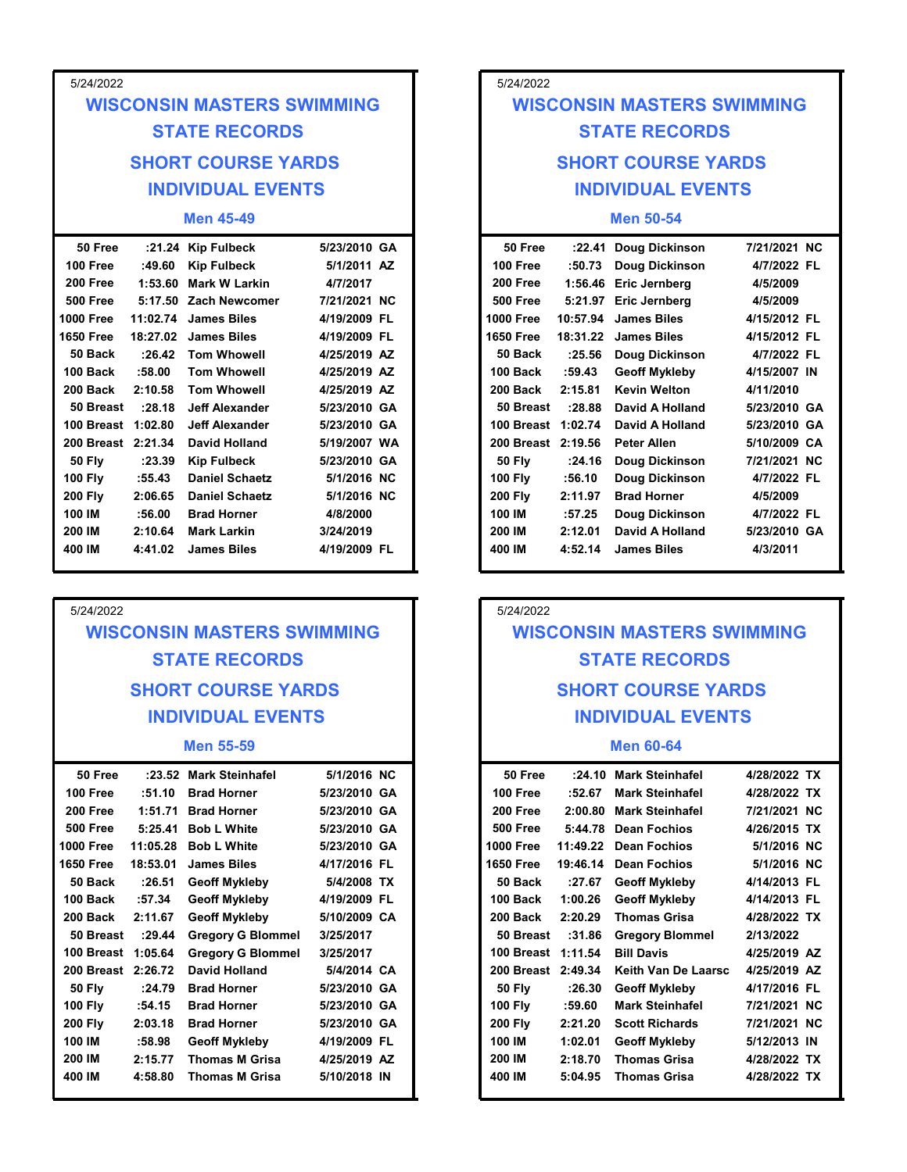| 5/24/2022                          |                                                          |                          | 5/24/2022                   |        |                                                |                          |  |
|------------------------------------|----------------------------------------------------------|--------------------------|-----------------------------|--------|------------------------------------------------|--------------------------|--|
|                                    | <b>WISCONSIN MASTERS SWIMMING</b>                        |                          |                             |        | <b>WISCONSIN MASTERS SWIMMING</b>              |                          |  |
|                                    | <b>STATE RECORDS</b>                                     |                          | <b>STATE RECORDS</b>        |        |                                                |                          |  |
|                                    | <b>SHORT COURSE YARDS</b>                                |                          | <b>SHORT COURSE YARDS</b>   |        |                                                |                          |  |
|                                    | <b>INDIVIDUAL EVENTS</b>                                 |                          |                             |        | <b>INDIVIDUAL EVENTS</b>                       |                          |  |
|                                    | <b>Men 45-49</b>                                         |                          |                             |        | <b>Men 50-54</b>                               |                          |  |
| 50 Free                            | :21.24 Kip Fulbeck                                       | 5/23/2010 GA             | 50 Free                     |        | :22.41 Doug Dickinson                          | 7/21/2021 NC             |  |
| 100 Free                           | <b>Kip Fulbeck</b><br>:49.60                             | 5/1/2011 AZ              | 100 Free                    | :50.73 | Doug Dickinson                                 | 4/7/2022 FL              |  |
| <b>200 Free</b><br><b>500 Free</b> | <b>Mark W Larkin</b><br>1:53.60<br>5:17.50 Zach Newcomer | 4/7/2017<br>7/21/2021 NC | 200 Free<br><b>500 Free</b> |        | 1:56.46 Eric Jernberg<br>5:21.97 Eric Jernberg | 4/5/2009                 |  |
| <b>1000 Free</b>                   | 11:02.74 James Biles                                     | 4/19/2009 FL             | <b>1000 Free</b>            |        | 10:57.94 James Biles                           | 4/5/2009<br>4/15/2012 FL |  |
| 1650 Free                          | 18:27.02 James Biles                                     | 4/19/2009 FL             | <b>1650 Free</b>            |        | 18:31.22 James Biles                           | 4/15/2012 FL             |  |

| <b>100 Free</b>    | :49.60   | Kip Fulbeck           | 5/1/2011 AZ  |  | <b>100 Free</b>    |          | :50.73 Doug Dickinson |  |
|--------------------|----------|-----------------------|--------------|--|--------------------|----------|-----------------------|--|
| 200 Free           |          | 1:53.60 Mark W Larkin | 4/7/2017     |  | 200 Free           |          | 1:56.46 Eric Jernberg |  |
| <b>500 Free</b>    |          | 5:17.50 Zach Newcomer | 7/21/2021 NC |  | <b>500 Free</b>    |          | 5:21.97 Eric Jernberg |  |
| <b>1000 Free</b>   | 11:02.74 | James Biles           | 4/19/2009 FL |  | <b>1000 Free</b>   | 10:57.94 | <b>James Biles</b>    |  |
| <b>1650 Free</b>   | 18:27.02 | <b>James Biles</b>    | 4/19/2009 FL |  | <b>1650 Free</b>   | 18:31.22 | <b>James Biles</b>    |  |
| 50 Back            | :26.42   | <b>Tom Whowell</b>    | 4/25/2019 AZ |  | 50 Back            | :25.56   | <b>Doug Dickinson</b> |  |
| 100 Back           | :58.00   | <b>Tom Whowell</b>    | 4/25/2019 AZ |  | 100 Back           | :59.43   | <b>Geoff Mykleby</b>  |  |
| 200 Back           | 2:10.58  | Tom Whowell           | 4/25/2019 AZ |  | 200 Back           | 2:15.81  | <b>Kevin Welton</b>   |  |
| 50 Breast          | : 28.18  | Jeff Alexander        | 5/23/2010 GA |  | 50 Breast          | :28.88   | David A Holland       |  |
| 100 Breast 1:02.80 |          | Jeff Alexander        | 5/23/2010 GA |  | 100 Breast 1:02.74 |          | David A Holland       |  |
| 200 Breast 2:21.34 |          | David Holland         | 5/19/2007 WA |  | 200 Breast 2:19.56 |          | Peter Allen           |  |
| <b>50 Fly</b>      | : 23.39  | Kip Fulbeck           | 5/23/2010 GA |  | <b>50 Fly</b>      | :24.16   | Doug Dickinson        |  |
| <b>100 Fly</b>     | :55.43   | <b>Daniel Schaetz</b> | 5/1/2016 NC  |  | <b>100 Fly</b>     | :56.10   | Doug Dickinson        |  |
| <b>200 Fly</b>     | 2:06.65  | <b>Daniel Schaetz</b> | 5/1/2016 NC  |  | <b>200 Fly</b>     | 2:11.97  | <b>Brad Horner</b>    |  |
| 100 IM             | :56.00   | <b>Brad Horner</b>    | 4/8/2000     |  | 100 IM             | :57.25   | Doug Dickinson        |  |
| 200 IM             | 2:10.64  | Mark Larkin           | 3/24/2019    |  | 200 IM             | 2:12.01  | David A Holland       |  |
| 400 IM             | 4:41.02  | <b>James Biles</b>    | 4/19/2009 FL |  | 400 IM             | 4:52.14  | <b>James Biles</b>    |  |

## WISCONSIN MASTERS SWIMMING STATE RECORDS SHORT COURSE YARDS INDIVIDUAL EVENTS

#### Men 55-59

| 50 Free            |          | :23.52 Mark Steinhafel   | 5/1/2016 NC  | 50 Free            | :24.10   | <b>Mark Steinhafel</b> |
|--------------------|----------|--------------------------|--------------|--------------------|----------|------------------------|
| 100 Free           | :51.10   | <b>Brad Horner</b>       | 5/23/2010 GA | 100 Free           | :52.67   | <b>Mark Steinhafel</b> |
| 200 Free           | 1:51.71  | <b>Brad Horner</b>       | 5/23/2010 GA | 200 Free           | 2:00.80  | <b>Mark Steinhafel</b> |
| <b>500 Free</b>    | 5:25.41  | <b>Bob L White</b>       | 5/23/2010 GA | <b>500 Free</b>    | 5:44.78  | Dean Fochios           |
| <b>1000 Free</b>   | 11:05.28 | <b>Bob L White</b>       | 5/23/2010 GA | <b>1000 Free</b>   | 11:49.22 | <b>Dean Fochios</b>    |
| <b>1650 Free</b>   | 18:53.01 | <b>James Biles</b>       | 4/17/2016 FL | <b>1650 Free</b>   | 19:46.14 | <b>Dean Fochios</b>    |
| 50 Back            | :26.51   | <b>Geoff Mykleby</b>     | 5/4/2008 TX  | 50 Back            | :27.67   | <b>Geoff Mykleby</b>   |
| 100 Back           | :57.34   | <b>Geoff Mykleby</b>     | 4/19/2009 FL | 100 Back           | 1:00.26  | <b>Geoff Mykleby</b>   |
| 200 Back           | 2:11.67  | Geoff Mykleby            | 5/10/2009 CA | 200 Back           | 2:20.29  | <b>Thomas Grisa</b>    |
| 50 Breast          | : 29.44  | <b>Gregory G Blommel</b> | 3/25/2017    | 50 Breast          | :31.86   | <b>Gregory Blommel</b> |
| 100 Breast 1:05.64 |          | <b>Gregory G Blommel</b> | 3/25/2017    | 100 Breast 1:11.54 |          | <b>Bill Davis</b>      |
| 200 Breast 2:26.72 |          | David Holland            | 5/4/2014 CA  | 200 Breast 2:49.34 |          | Keith Van De Laarsc    |
| <b>50 Fly</b>      | :24.79   | <b>Brad Horner</b>       | 5/23/2010 GA | <b>50 Fly</b>      | :26.30   | <b>Geoff Mykleby</b>   |
| <b>100 Fly</b>     | :54.15   | <b>Brad Horner</b>       | 5/23/2010 GA | <b>100 Fly</b>     | :59.60   | <b>Mark Steinhafel</b> |
| <b>200 Fly</b>     | 2:03.18  | <b>Brad Horner</b>       | 5/23/2010 GA | <b>200 Fly</b>     | 2:21.20  | <b>Scott Richards</b>  |
| <b>100 IM</b>      | :58.98   | <b>Geoff Mykleby</b>     | 4/19/2009 FL | 100 IM             | 1:02.01  | <b>Geoff Mykleby</b>   |
| <b>200 IM</b>      | 2:15.77  | <b>Thomas M Grisa</b>    | 4/25/2019 AZ | 200 IM             | 2:18.70  | <b>Thomas Grisa</b>    |
| 400 IM             | 4:58.80  | <b>Thomas M Grisa</b>    | 5/10/2018 IN | 400 IM             | 5:04.95  | <b>Thomas Grisa</b>    |
|                    |          |                          |              |                    |          |                        |

## SHORT COURSE YARDS SHORT COURSE YARDS INDIVIDUAL EVENTS INDIVIDUAL EVENTS WISCONSIN MASTERS SWIMMING STATE RECORDS

### Men 50-54

| Mark Steinhafel<br>Brad Horner<br>Brad Horner<br>Bob L White | 5/1/2016 NC<br>5/23/2010 GA<br>5/23/2010 GA<br>5/23/2010 GA | 50 Free<br>100 Free<br>200 Free<br><b>500 Free</b> |                    | :24.10 Mark Steinhafel<br>:52.67 Mark Steinhafel<br>2:00.80 Mark Steinhafel<br>5:44.78 Dean Fochios<br>11:49.22 Dean Fochios | 4/28/2022 TX<br>4/28/2022 TX<br>7/21/2021 NC<br>4/26/2015 TX |
|--------------------------------------------------------------|-------------------------------------------------------------|----------------------------------------------------|--------------------|------------------------------------------------------------------------------------------------------------------------------|--------------------------------------------------------------|
| Men 55-59                                                    |                                                             |                                                    |                    | <b>Men 60-64</b>                                                                                                             |                                                              |
| <b>/IDUAL EVENTS</b>                                         |                                                             |                                                    |                    | <b>INDIVIDUAL EVENTS</b>                                                                                                     |                                                              |
| <b>COURSE YARDS</b>                                          |                                                             |                                                    |                    | <b>SHORT COURSE YARDS</b>                                                                                                    |                                                              |
| <b>TE RECORDS</b>                                            |                                                             |                                                    |                    | <b>STATE RECORDS</b>                                                                                                         |                                                              |
| <b>MASTERS SWIMMING</b>                                      |                                                             | 5/24/2022                                          |                    | <b>WISCONSIN MASTERS SWIMMING</b>                                                                                            |                                                              |
|                                                              |                                                             |                                                    |                    |                                                                                                                              |                                                              |
| James Biles                                                  | 4/19/2009 FL                                                | 400 IM                                             | 4:52.14            | <b>James Biles</b>                                                                                                           | 4/3/2011                                                     |
| <b>Brad Horner</b><br>Mark Larkin                            | 4/8/2000<br>3/24/2019                                       | 100 IM<br>200 IM                                   | :57.25<br>2:12.01  | <b>Doug Dickinson</b><br>David A Holland                                                                                     | 4/7/2022 FL<br>5/23/2010 GA                                  |
| <b>Daniel Schaetz</b>                                        | 5/1/2016 NC                                                 | <b>200 Fly</b>                                     | 2:11.97            | <b>Brad Horner</b>                                                                                                           | 4/5/2009                                                     |
| Kip Fulbeck<br>Daniel Schaetz                                | 5/23/2010 GA<br>5/1/2016 NC                                 | <b>50 Fly</b><br><b>100 Fly</b>                    | :24.16<br>:56.10   | <b>Doug Dickinson</b><br><b>Doug Dickinson</b>                                                                               | 7/21/2021 NC<br>4/7/2022 FL                                  |
| David Holland                                                | 5/19/2007 WA                                                | 200 Breast 2:19.56                                 |                    | <b>Peter Allen</b>                                                                                                           | 5/10/2009 CA                                                 |
| Jeff Alexander                                               | 5/23/2010 GA                                                | 100 Breast 1:02.74                                 |                    | David A Holland                                                                                                              | 5/23/2010 GA                                                 |
| Tom Whowell<br>Jeff Alexander                                | 4/25/2019 AZ<br>5/23/2010 GA                                | 200 Back<br>50 Breast                              | 2:15.81<br>:28.88  | <b>Kevin Welton</b><br>David A Holland                                                                                       | 4/11/2010<br>5/23/2010 GA                                    |
| Tom Whowell                                                  | 4/25/2019 AZ                                                | 100 Back                                           | :59.43             | <b>Geoff Mykleby</b>                                                                                                         | 4/15/2007 IN                                                 |
| James Biles<br><b>Tom Whowell</b>                            | 4/19/2009 FL<br>4/25/2019 AZ                                | <b>1650 Free</b><br>50 Back                        | 18:31.22<br>:25.56 | <b>James Biles</b><br><b>Doug Dickinson</b>                                                                                  | 4/15/2012 FL<br>4/7/2022 FL                                  |
| James Biles                                                  | 4/19/2009 FL                                                | <b>1000 Free</b>                                   | 10:57.94           | <b>James Biles</b>                                                                                                           | 4/15/2012 FL                                                 |
| Zach Newcomer                                                | 7/21/2021 NC                                                | <b>500 Free</b>                                    | 5:21.97            | Eric Jernberg                                                                                                                | 4/5/2009                                                     |
| Kip Fulbeck<br>Mark W Larkin                                 | 5/1/2011 AZ<br>4/7/2017                                     | 100 Free<br>200 Free                               | :50.73             | <b>Doug Dickinson</b><br>1:56.46 Eric Jernberg                                                                               | 4/7/2022 FL<br>4/5/2009                                      |
| Kip Fulbeck                                                  | 5/23/2010 GA                                                | 50 Free                                            |                    | :22.41 Doug Dickinson                                                                                                        | 7/21/2021 NC                                                 |
| Men 45-49                                                    |                                                             |                                                    |                    | <b>Men 50-54</b>                                                                                                             |                                                              |
| <b>VIDUAL EVENTS</b>                                         |                                                             |                                                    |                    | <b>INDIVIDUAL EVENTS</b>                                                                                                     |                                                              |
| <b>COURSE YARDS</b>                                          |                                                             |                                                    |                    | <b>SHORT COURSE YARDS</b>                                                                                                    |                                                              |
| <b>TE RECORDS</b>                                            |                                                             |                                                    |                    | <b>STATE RECORDS</b>                                                                                                         |                                                              |
| <b>MASTERS SWIMMING</b>                                      |                                                             |                                                    |                    | <b>WISCONSIN MASTERS SWIMMING</b>                                                                                            |                                                              |
|                                                              |                                                             | 5/24/2022                                          |                    |                                                                                                                              |                                                              |

## 5/24/2022 WISCONSIN MASTERS SWIMMING STATE RECORDS SHORT COURSE YARDS INDIVIDUAL EVENTS

#### Men 60-64

| Brad Horner<br>Mark Larkin | 4/8/2000<br>3/24/2019 | 100 IM<br>200 IM   | :57.25<br>2:12.01 | Doug Dickinson<br><b>David A Holland</b> | 4/7/2022 FL<br>5/23/2010 GA |
|----------------------------|-----------------------|--------------------|-------------------|------------------------------------------|-----------------------------|
| James Biles                | 4/19/2009 FL          | 400 IM             | 4:52.14           | <b>James Biles</b>                       | 4/3/2011                    |
|                            |                       |                    |                   |                                          |                             |
|                            |                       |                    |                   |                                          |                             |
|                            |                       | 5/24/2022          |                   |                                          |                             |
| <b>MASTERS SWIMMING</b>    |                       |                    |                   | <b>WISCONSIN MASTERS SWIMMING</b>        |                             |
| <b>TE RECORDS</b>          |                       |                    |                   | <b>STATE RECORDS</b>                     |                             |
|                            |                       |                    |                   |                                          |                             |
| <b>COURSE YARDS</b>        |                       |                    |                   | <b>SHORT COURSE YARDS</b>                |                             |
| <b>VIDUAL EVENTS</b>       |                       |                    |                   | <b>INDIVIDUAL EVENTS</b>                 |                             |
|                            |                       |                    |                   |                                          |                             |
| Men 55-59                  |                       |                    |                   | <b>Men 60-64</b>                         |                             |
| Mark Steinhafel            | 5/1/2016 NC           | 50 Free            |                   | :24.10 Mark Steinhafel                   | 4/28/2022 TX                |
| <b>Brad Horner</b>         | 5/23/2010 GA          | 100 Free           | :52.67            | <b>Mark Steinhafel</b>                   | 4/28/2022 TX                |
| <b>Brad Horner</b>         | 5/23/2010 GA          | 200 Free           |                   | 2:00.80 Mark Steinhafel                  | 7/21/2021 NC                |
| <b>Bob L White</b>         | 5/23/2010 GA          | <b>500 Free</b>    |                   | 5:44.78 Dean Fochios                     | 4/26/2015 TX                |
| <b>Bob L White</b>         | 5/23/2010 GA          | <b>1000 Free</b>   |                   | 11:49.22 Dean Fochios                    | 5/1/2016 NC                 |
| <b>James Biles</b>         | 4/17/2016 FL          | <b>1650 Free</b>   |                   | 19:46.14 Dean Fochios                    | 5/1/2016 NC                 |
| Geoff Mykleby              | 5/4/2008 TX           | 50 Back            | :27.67            | <b>Geoff Mykleby</b>                     | 4/14/2013 FL                |
| Geoff Mykleby              | 4/19/2009 FL          | 100 Back           | 1:00.26           | <b>Geoff Mykleby</b>                     | 4/14/2013 FL                |
| Geoff Mykleby              | 5/10/2009 CA          | 200 Back           | 2:20.29           | <b>Thomas Grisa</b>                      | 4/28/2022 TX                |
| <b>Gregory G Blommel</b>   | 3/25/2017             | 50 Breast          | :31.86            | <b>Gregory Blommel</b>                   | 2/13/2022                   |
| <b>Gregory G Blommel</b>   | 3/25/2017             | 100 Breast 1:11.54 |                   | <b>Bill Davis</b>                        | 4/25/2019 AZ                |
| David Holland              | 5/4/2014 CA           | 200 Breast 2:49.34 |                   | Keith Van De Laarsc                      | 4/25/2019 AZ                |
| <b>Brad Horner</b>         | 5/23/2010 GA          | <b>50 Fly</b>      | :26.30            | <b>Geoff Mykleby</b>                     | 4/17/2016 FL                |
| <b>Brad Horner</b>         | 5/23/2010 GA          | <b>100 Fly</b>     | :59.60            | <b>Mark Steinhafel</b>                   | 7/21/2021 NC                |
| <b>Brad Horner</b>         | 5/23/2010 GA          | <b>200 Fly</b>     | 2:21.20           | <b>Scott Richards</b>                    | 7/21/2021 NC                |
| Geoff Mykleby              | 4/19/2009 FL          | 100 IM             | 1:02.01           | <b>Geoff Mykleby</b>                     | 5/12/2013 IN                |
| <b>Thomas M Grisa</b>      | 4/25/2019 AZ          | 200 IM             | 2:18.70           | <b>Thomas Grisa</b>                      | 4/28/2022 TX                |
| Thomas M Grisa             | 5/10/2018 IN          | 400 IM             | 5:04.95           | <b>Thomas Grisa</b>                      | 4/28/2022 TX                |
|                            |                       |                    |                   |                                          |                             |

### 5/24/2022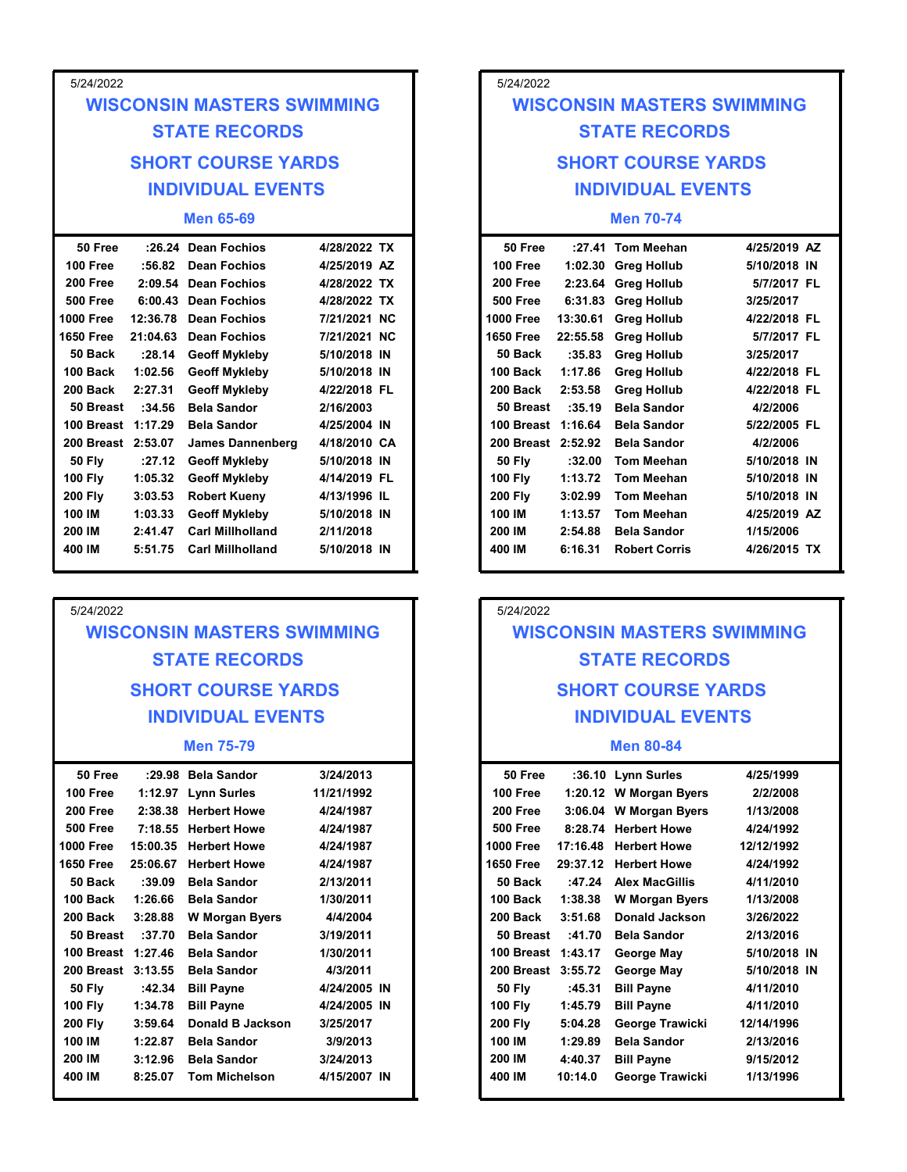| 5/24/2022            |                    |                                                 |                              |  | 5/24/2022            |                     |                                            |
|----------------------|--------------------|-------------------------------------------------|------------------------------|--|----------------------|---------------------|--------------------------------------------|
|                      |                    | <b>WISCONSIN MASTERS SWIMMING</b>               |                              |  |                      |                     | <b>WISCONSIN MASTERS SWIMMING</b>          |
|                      |                    | <b>STATE RECORDS</b>                            |                              |  |                      |                     | <b>STATE RECORDS</b>                       |
|                      |                    | <b>SHORT COURSE YARDS</b>                       |                              |  |                      |                     | <b>SHORT COURSE YARDS</b>                  |
|                      |                    |                                                 |                              |  |                      |                     |                                            |
|                      |                    | <b>INDIVIDUAL EVENTS</b>                        |                              |  |                      |                     | <b>INDIVIDUAL EVENTS</b>                   |
|                      |                    | <b>Men 65-69</b>                                |                              |  |                      |                     | <b>Men 70-74</b>                           |
| 50 Free              |                    | :26.24 Dean Fochios                             | 4/28/2022 TX                 |  | 50 Free              |                     | :27.41 Tom Meehan                          |
| 100 Free<br>200 Free | :56.82             | <b>Dean Fochios</b><br>2:09.54 Dean Fochios     | 4/25/2019 AZ<br>4/28/2022 TX |  | 100 Free<br>200 Free |                     | 1:02.30 Greg Hollub<br>2:23.64 Greg Hollub |
| <b>500 Free</b>      |                    | 6:00.43 Dean Fochios                            | 4/28/2022 TX                 |  | <b>500 Free</b>      |                     | 6:31.83 Greg Hollub                        |
| <b>1000 Free</b>     | 12:36.78           | <b>Dean Fochios</b>                             | 7/21/2021 NC                 |  | 1000 Free            | 13:30.61            | <b>Greg Hollub</b>                         |
| <b>1650 Free</b>     | 21:04.63           | <b>Dean Fochios</b>                             | 7/21/2021 NC                 |  | <b>1650 Free</b>     | 22:55.58            | <b>Greg Hollub</b>                         |
| 50 Back              | : 28.14            | <b>Geoff Mykleby</b>                            | 5/10/2018 IN                 |  | 50 Back              | :35.83              | <b>Greg Hollub</b>                         |
| 100 Back<br>200 Back | 1:02.56<br>2:27.31 | <b>Geoff Mykleby</b><br><b>Geoff Mykleby</b>    | 5/10/2018 IN<br>4/22/2018 FL |  | 100 Back<br>200 Back | 1:17.86<br>2:53.58  | <b>Greg Hollub</b><br><b>Greg Hollub</b>   |
| 50 Breast            | :34.56             | <b>Bela Sandor</b>                              | 2/16/2003                    |  |                      | :35.19<br>50 Breast | <b>Bela Sandor</b>                         |
| 100 Breast 1:17.29   |                    | <b>Bela Sandor</b>                              | 4/25/2004 IN                 |  |                      | 100 Breast 1:16.64  | <b>Bela Sandor</b>                         |
| 200 Breast 2:53.07   |                    | <b>James Dannenberg</b>                         | 4/18/2010 CA                 |  |                      | 200 Breast 2:52.92  | <b>Bela Sandor</b>                         |
| <b>50 Fly</b>        | :27.12             | <b>Geoff Mykleby</b>                            | 5/10/2018 IN                 |  | <b>50 Fly</b>        | :32.00              | <b>Tom Meehan</b>                          |
| <b>100 Fly</b>       | 1:05.32            | <b>Geoff Mykleby</b>                            | 4/14/2019 FL                 |  | <b>100 Fly</b>       | 1:13.72             | <b>Tom Meehan</b>                          |
| <b>200 Fly</b>       | 3:03.53            | <b>Robert Kueny</b>                             | 4/13/1996 IL                 |  | <b>200 Fly</b>       | 3:02.99<br>1:13.57  | <b>Tom Meehan</b>                          |
| 100 IM<br>200 IM     | 1:03.33<br>2:41.47 | <b>Geoff Mykleby</b><br><b>Carl Millholland</b> | 5/10/2018 IN<br>2/11/2018    |  | 100 IM<br>200 IM     | 2:54.88             | <b>Tom Meehan</b><br><b>Bela Sandor</b>    |
| 400 IM               | 5:51.75            | <b>Carl Millholland</b>                         | 5/10/2018 IN                 |  | 400 IM               | 6:16.31             | <b>Robert Corris</b>                       |

## WISCONSIN MASTERS SWIMMING STATE RECORDS SHORT COURSE YARDS INDIVIDUAL EVENTS

#### Men 75-79

| 50 Free            |          | :29.98 Bela Sandor    | 3/24/2013    | 50 Free            |          | :36.10 Lynn Surles     |
|--------------------|----------|-----------------------|--------------|--------------------|----------|------------------------|
| 100 Free           |          | 1:12.97 Lynn Surles   | 11/21/1992   | 100 Free           |          | 1:20.12 W Morgan Byers |
| 200 Free           |          | 2:38.38 Herbert Howe  | 4/24/1987    | 200 Free           |          | 3:06.04 W Morgan Byers |
| <b>500 Free</b>    |          | 7:18.55 Herbert Howe  | 4/24/1987    | <b>500 Free</b>    | 8:28.74  | <b>Herbert Howe</b>    |
| <b>1000 Free</b>   | 15:00.35 | <b>Herbert Howe</b>   | 4/24/1987    | <b>1000 Free</b>   | 17:16.48 | <b>Herbert Howe</b>    |
| <b>1650 Free</b>   | 25:06.67 | <b>Herbert Howe</b>   | 4/24/1987    | <b>1650 Free</b>   | 29:37.12 | <b>Herbert Howe</b>    |
| 50 Back            | :39.09   | <b>Bela Sandor</b>    | 2/13/2011    | 50 Back            | :47.24   | <b>Alex MacGillis</b>  |
| 100 Back           | 1:26.66  | <b>Bela Sandor</b>    | 1/30/2011    | 100 Back           | 1:38.38  | <b>W</b> Morgan Byers  |
| 200 Back           | 3:28.88  | <b>W</b> Morgan Byers | 4/4/2004     | 200 Back           | 3:51.68  | Donald Jackson         |
| 50 Breast          | :37.70   | <b>Bela Sandor</b>    | 3/19/2011    | 50 Breast          | :41.70   | <b>Bela Sandor</b>     |
| 100 Breast 1:27.46 |          | <b>Bela Sandor</b>    | 1/30/2011    | 100 Breast 1:43.17 |          | George May             |
| 200 Breast 3:13.55 |          | <b>Bela Sandor</b>    | 4/3/2011     | 200 Breast 3:55.72 |          | George May             |
| <b>50 Fly</b>      | :42.34   | <b>Bill Payne</b>     | 4/24/2005 IN | <b>50 Fly</b>      | :45.31   | <b>Bill Payne</b>      |
| <b>100 Fly</b>     | 1:34.78  | <b>Bill Payne</b>     | 4/24/2005 IN | <b>100 Fly</b>     | 1:45.79  | <b>Bill Payne</b>      |
| <b>200 Fly</b>     | 3:59.64  | Donald B Jackson      | 3/25/2017    | <b>200 Fly</b>     | 5:04.28  | George Trawicki        |
| 100 IM             | 1:22.87  | <b>Bela Sandor</b>    | 3/9/2013     | 100 IM             | 1:29.89  | <b>Bela Sandor</b>     |
| 200 IM             | 3:12.96  | <b>Bela Sandor</b>    | 3/24/2013    | 200 IM             | 4:40.37  | <b>Bill Payne</b>      |
| 400 IM             | 8:25.07  | <b>Tom Michelson</b>  | 4/15/2007 IN | 400 IM             | 10:14.0  | George Trawicki        |
|                    |          |                       |              |                    |          |                        |

## SHORT COURSE YARDS SHORT COURSE YARDS INDIVIDUAL EVENTS INDIVIDUAL EVENTS 5/24/2022 MASTERS SWIMMING<br>
TE RECORDS<br>
I COURSE YARDS<br>
VIDUAL EVENTS<br>
Men 70-74<br>
Tom Meehan 4/25/2019 AZ<br>
Greg Hollub 5/10/2018 IN<br>
Greg Hollub 5/7/2017 FL<br>
Greg Hollub 3/25/2017<br>
Greg Hollub 4/22/2018 FL<br>
Greg Hollub 4/22/2018 FL<br> 5/24/2022<br>
WISCONSIN MASTERS SWIMMING<br>
STATE RECORDS<br>
SHORT COURSE YARDS<br>
INDIVIDUAL EVENTS<br>
Men 70-74<br>
50 Free :27.41 Tom Meehan<br>
100 Free 1:02.30 Greg Hollub<br>
200 Free 2:23.64 Greg Hollub<br>
5/7/2017 FL<br>
1000 Free 6:31.83 WISCONSIN MASTERS SWIMMING STATE RECORDS

### Men 70-74

| 5/24/2022                                                          |                     |
|--------------------------------------------------------------------|---------------------|
| <b>WISCONSIN MASTERS SWIMMING</b>                                  |                     |
| <b>STATE RECORDS</b>                                               |                     |
| <b>SHORT COURSE YARDS</b>                                          |                     |
| <b>INDIVIDUAL EVENTS</b>                                           |                     |
|                                                                    |                     |
| :27.41 Tom Meehan<br>50 Free                                       |                     |
| 100 Free<br>1:02.30 Greg Hollub<br>200 Free<br>2:23.64 Greg Hollub |                     |
| <b>500 Free</b><br>6:31.83 Greg Hollub                             |                     |
| 13:30.61                                                           |                     |
| 22:55.58                                                           |                     |
|                                                                    | :35.83              |
|                                                                    | 1:17.86             |
|                                                                    | 2:53.58             |
|                                                                    | 50 Breast<br>:35.19 |
|                                                                    | 100 Breast 1:16.64  |
|                                                                    | 200 Breast 2:52.92  |
|                                                                    | :32.00              |
|                                                                    | 1:13.72             |
|                                                                    | 3:02.99             |
|                                                                    | 1:13.57             |
|                                                                    | 2:54.88             |
|                                                                    | 6:16.31             |

## 5/24/2022 WISCONSIN MASTERS SWIMMING STATE RECORDS SHORT COURSE YARDS INDIVIDUAL EVENTS

#### Men 80-84

| Bela Sandor      | 3/24/2013    | 50 Free            |          | :36.10 Lynn Surles     | 4/25/1999    |
|------------------|--------------|--------------------|----------|------------------------|--------------|
| Lynn Surles      | 11/21/1992   | 100 Free           |          | 1:20.12 W Morgan Byers | 2/2/2008     |
| Herbert Howe     | 4/24/1987    | 200 Free           |          | 3:06.04 W Morgan Byers | 1/13/2008    |
| Herbert Howe     | 4/24/1987    | <b>500 Free</b>    |          | 8:28.74 Herbert Howe   | 4/24/1992    |
| Herbert Howe     | 4/24/1987    | <b>1000 Free</b>   | 17:16.48 | <b>Herbert Howe</b>    | 12/12/1992   |
| Herbert Howe     | 4/24/1987    | <b>1650 Free</b>   | 29:37.12 | <b>Herbert Howe</b>    | 4/24/1992    |
| Bela Sandor      | 2/13/2011    | 50 Back            | :47.24   | <b>Alex MacGillis</b>  | 4/11/2010    |
| Bela Sandor      | 1/30/2011    | 100 Back           | 1:38.38  | <b>W</b> Morgan Byers  | 1/13/2008    |
| W Morgan Byers   | 4/4/2004     | 200 Back           | 3:51.68  | <b>Donald Jackson</b>  | 3/26/2022    |
| Bela Sandor      | 3/19/2011    | 50 Breast          | :41.70   | <b>Bela Sandor</b>     | 2/13/2016    |
| Bela Sandor      | 1/30/2011    | 100 Breast 1:43.17 |          | George May             | 5/10/2018 IN |
| Bela Sandor      | 4/3/2011     | 200 Breast 3:55.72 |          | George May             | 5/10/2018 IN |
| Bill Payne       | 4/24/2005 IN | <b>50 Fly</b>      | :45.31   | <b>Bill Payne</b>      | 4/11/2010    |
| Bill Payne       | 4/24/2005 IN | <b>100 Fly</b>     | 1:45.79  | <b>Bill Payne</b>      | 4/11/2010    |
| Donald B Jackson | 3/25/2017    | <b>200 Fly</b>     | 5:04.28  | George Trawicki        | 12/14/1996   |
| Bela Sandor      | 3/9/2013     | 100 IM             | 1:29.89  | <b>Bela Sandor</b>     | 2/13/2016    |
| Bela Sandor      | 3/24/2013    | 200 IM             | 4:40.37  | <b>Bill Payne</b>      | 9/15/2012    |
| Tom Michelson    | 4/15/2007 IN | 400 IM             | 10:14.0  | George Trawicki        | 1/13/1996    |
|                  |              |                    |          |                        |              |